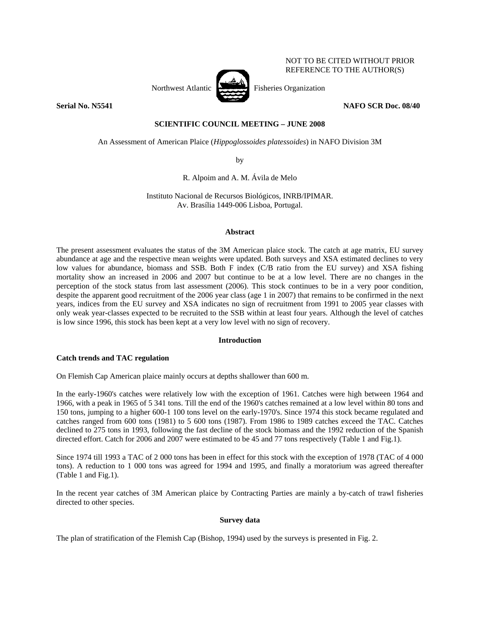

NOT TO BE CITED WITHOUT PRIOR REFERENCE TO THE AUTHOR(S)

## **Serial No. N5541 NAFO SCR Doc. 08/40**

# **SCIENTIFIC COUNCIL MEETING – JUNE 2008**

An Assessment of American Plaice (*Hippoglossoides platessoides*) in NAFO Division 3M

by

R. Alpoim and A. M. Ávila de Melo

Instituto Nacional de Recursos Biológicos, INRB/IPIMAR. Av. Brasília 1449-006 Lisboa, Portugal.

### **Abstract**

The present assessment evaluates the status of the 3M American plaice stock. The catch at age matrix, EU survey abundance at age and the respective mean weights were updated. Both surveys and XSA estimated declines to very low values for abundance, biomass and SSB. Both F index (C/B ratio from the EU survey) and XSA fishing mortality show an increased in 2006 and 2007 but continue to be at a low level. There are no changes in the perception of the stock status from last assessment (2006). This stock continues to be in a very poor condition, despite the apparent good recruitment of the 2006 year class (age 1 in 2007) that remains to be confirmed in the next years, indices from the EU survey and XSA indicates no sign of recruitment from 1991 to 2005 year classes with only weak year-classes expected to be recruited to the SSB within at least four years. Although the level of catches is low since 1996, this stock has been kept at a very low level with no sign of recovery.

# **Introduction**

# **Catch trends and TAC regulation**

On Flemish Cap American plaice mainly occurs at depths shallower than 600 m.

In the early-1960's catches were relatively low with the exception of 1961. Catches were high between 1964 and 1966, with a peak in 1965 of 5 341 tons. Till the end of the 1960's catches remained at a low level within 80 tons and 150 tons, jumping to a higher 600-1 100 tons level on the early-1970's. Since 1974 this stock became regulated and catches ranged from 600 tons (1981) to 5 600 tons (1987). From 1986 to 1989 catches exceed the TAC. Catches declined to 275 tons in 1993, following the fast decline of the stock biomass and the 1992 reduction of the Spanish directed effort. Catch for 2006 and 2007 were estimated to be 45 and 77 tons respectively (Table 1 and Fig.1).

Since 1974 till 1993 a TAC of 2 000 tons has been in effect for this stock with the exception of 1978 (TAC of 4 000 tons). A reduction to 1 000 tons was agreed for 1994 and 1995, and finally a moratorium was agreed thereafter (Table 1 and Fig.1).

In the recent year catches of 3M American plaice by Contracting Parties are mainly a by-catch of trawl fisheries directed to other species.

# **Survey data**

The plan of stratification of the Flemish Cap (Bishop, 1994) used by the surveys is presented in Fig. 2.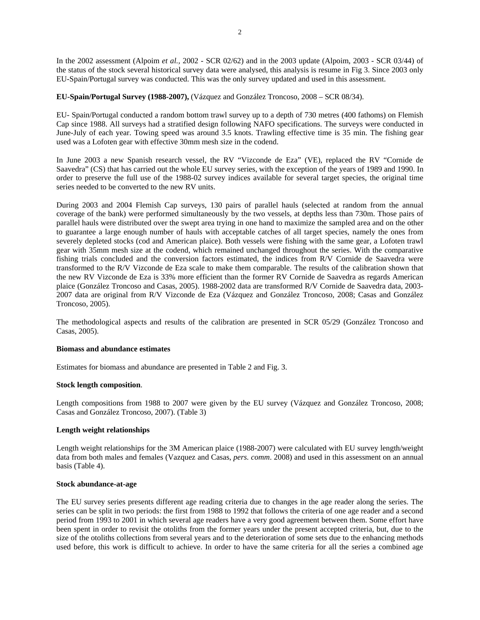In the 2002 assessment (Alpoim *et al.,* 2002 - SCR 02/62) and in the 2003 update (Alpoim, 2003 - SCR 03/44) of the status of the stock several historical survey data were analysed, this analysis is resume in Fig 3. Since 2003 only EU-Spain/Portugal survey was conducted. This was the only survey updated and used in this assessment.

## **EU-Spain/Portugal Survey (1988-2007),** (Vázquez and González Troncoso, 2008 – SCR 08/34).

EU- Spain/Portugal conducted a random bottom trawl survey up to a depth of 730 metres (400 fathoms) on Flemish Cap since 1988. All surveys had a stratified design following NAFO specifications. The surveys were conducted in June-July of each year. Towing speed was around 3.5 knots. Trawling effective time is 35 min. The fishing gear used was a Lofoten gear with effective 30mm mesh size in the codend.

In June 2003 a new Spanish research vessel, the RV "Vizconde de Eza" (VE), replaced the RV "Cornide de Saavedra" (CS) that has carried out the whole EU survey series, with the exception of the years of 1989 and 1990. In order to preserve the full use of the 1988-02 survey indices available for several target species, the original time series needed to be converted to the new RV units.

During 2003 and 2004 Flemish Cap surveys, 130 pairs of parallel hauls (selected at random from the annual coverage of the bank) were performed simultaneously by the two vessels, at depths less than 730m. Those pairs of parallel hauls were distributed over the swept area trying in one hand to maximize the sampled area and on the other to guarantee a large enough number of hauls with acceptable catches of all target species, namely the ones from severely depleted stocks (cod and American plaice). Both vessels were fishing with the same gear, a Lofoten trawl gear with 35mm mesh size at the codend, which remained unchanged throughout the series. With the comparative fishing trials concluded and the conversion factors estimated, the indices from R/V Cornide de Saavedra were transformed to the R/V Vizconde de Eza scale to make them comparable. The results of the calibration shown that the new RV Vizconde de Eza is 33% more efficient than the former RV Cornide de Saavedra as regards American plaice (González Troncoso and Casas, 2005). 1988-2002 data are transformed R/V Cornide de Saavedra data, 2003- 2007 data are original from R/V Vizconde de Eza (Vázquez and González Troncoso, 2008; Casas and González Troncoso, 2005).

The methodological aspects and results of the calibration are presented in SCR 05/29 (González Troncoso and Casas, 2005).

### **Biomass and abundance estimates**

Estimates for biomass and abundance are presented in Table 2 and Fig. 3.

### **Stock length composition**.

Length compositions from 1988 to 2007 were given by the EU survey (Vázquez and González Troncoso, 2008; Casas and González Troncoso, 2007). (Table 3)

## **Length weight relationships**

Length weight relationships for the 3M American plaice (1988-2007) were calculated with EU survey length/weight data from both males and females (Vazquez and Casas, *pers. comm*. 2008) and used in this assessment on an annual basis (Table 4).

### **Stock abundance-at-age**

The EU survey series presents different age reading criteria due to changes in the age reader along the series. The series can be split in two periods: the first from 1988 to 1992 that follows the criteria of one age reader and a second period from 1993 to 2001 in which several age readers have a very good agreement between them. Some effort have been spent in order to revisit the otoliths from the former years under the present accepted criteria, but, due to the size of the otoliths collections from several years and to the deterioration of some sets due to the enhancing methods used before, this work is difficult to achieve. In order to have the same criteria for all the series a combined age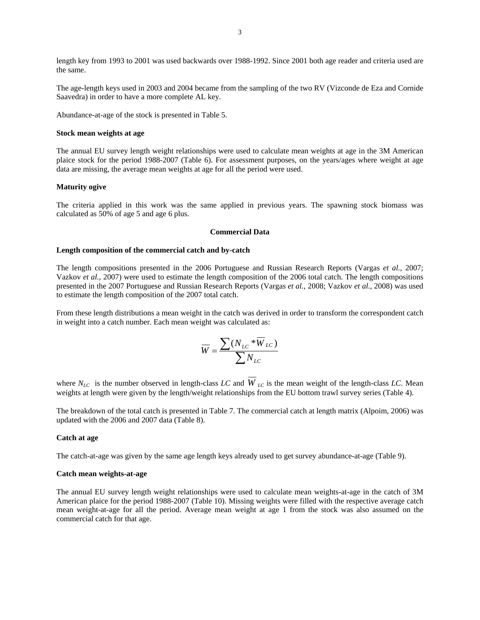length key from 1993 to 2001 was used backwards over 1988-1992. Since 2001 both age reader and criteria used are the same.

The age-length keys used in 2003 and 2004 became from the sampling of the two RV (Vizconde de Eza and Cornide Saavedra) in order to have a more complete AL key.

Abundance-at-age of the stock is presented in Table 5.

### **Stock mean weights at age**

The annual EU survey length weight relationships were used to calculate mean weights at age in the 3M American plaice stock for the period 1988-2007 (Table 6). For assessment purposes, on the years/ages where weight at age data are missing, the average mean weights at age for all the period were used.

### **Maturity ogive**

The criteria applied in this work was the same applied in previous years. The spawning stock biomass was calculated as 50% of age 5 and age 6 plus.

### **Commercial Data**

#### **Length composition of the commercial catch and by-catch**

The length compositions presented in the 2006 Portuguese and Russian Research Reports (Vargas *et al.*, 2007; Vazkov *et al.*, 2007) were used to estimate the length composition of the 2006 total catch. The length compositions presented in the 2007 Portuguese and Russian Research Reports (Vargas *et al.*, 2008; Vazkov *et al.*, 2008) was used to estimate the length composition of the 2007 total catch.

From these length distributions a mean weight in the catch was derived in order to transform the correspondent catch in weight into a catch number. Each mean weight was calculated as:

$$
\overline{W} = \frac{\sum (N_{LC} * \overline{W}_{LC})}{\sum N_{LC}}
$$

where  $N_{LC}$  is the number observed in length-class *LC* and  $W_{LC}$  is the mean weight of the length-class *LC*. Mean weights at length were given by the length/weight relationships from the EU bottom trawl survey series (Table 4).

The breakdown of the total catch is presented in Table 7. The commercial catch at length matrix (Alpoim, 2006) was updated with the 2006 and 2007 data (Table 8).

### **Catch at age**

The catch-at-age was given by the same age length keys already used to get survey abundance-at-age (Table 9).

#### **Catch mean weights-at-age**

The annual EU survey length weight relationships were used to calculate mean weights-at-age in the catch of 3M American plaice for the period 1988-2007 (Table 10). Missing weights were filled with the respective average catch mean weight-at-age for all the period. Average mean weight at age 1 from the stock was also assumed on the commercial catch for that age.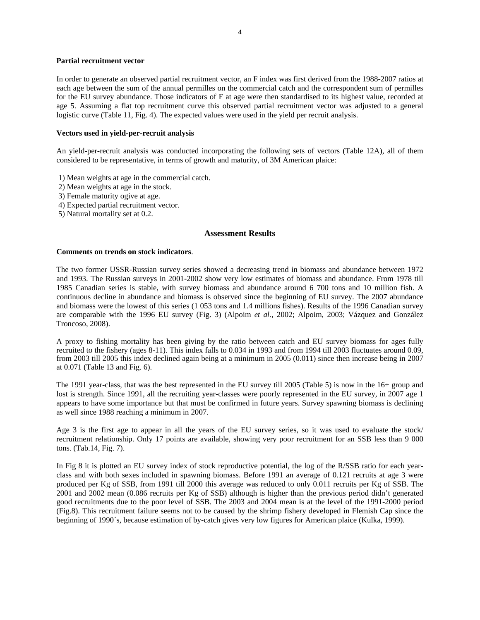# **Partial recruitment vector**

In order to generate an observed partial recruitment vector, an F index was first derived from the 1988-2007 ratios at each age between the sum of the annual permilles on the commercial catch and the correspondent sum of permilles for the EU survey abundance. Those indicators of F at age were then standardised to its highest value, recorded at age 5. Assuming a flat top recruitment curve this observed partial recruitment vector was adjusted to a general logistic curve (Table 11, Fig. 4). The expected values were used in the yield per recruit analysis.

## **Vectors used in yield-per-recruit analysis**

An yield-per-recruit analysis was conducted incorporating the following sets of vectors (Table 12A), all of them considered to be representative, in terms of growth and maturity, of 3M American plaice:

- 1) Mean weights at age in the commercial catch.
- 2) Mean weights at age in the stock.
- 3) Female maturity ogive at age.
- 4) Expected partial recruitment vector.
- 5) Natural mortality set at 0.2.

#### **Assessment Results**

#### **Comments on trends on stock indicators**.

The two former USSR-Russian survey series showed a decreasing trend in biomass and abundance between 1972 and 1993. The Russian surveys in 2001-2002 show very low estimates of biomass and abundance. From 1978 till 1985 Canadian series is stable, with survey biomass and abundance around 6 700 tons and 10 million fish. A continuous decline in abundance and biomass is observed since the beginning of EU survey. The 2007 abundance and biomass were the lowest of this series (1 053 tons and 1.4 millions fishes). Results of the 1996 Canadian survey are comparable with the 1996 EU survey (Fig. 3) (Alpoim *et al.*, 2002; Alpoim, 2003; Vázquez and González Troncoso, 2008).

A proxy to fishing mortality has been giving by the ratio between catch and EU survey biomass for ages fully recruited to the fishery (ages 8-11). This index falls to 0.034 in 1993 and from 1994 till 2003 fluctuates around 0.09, from 2003 till 2005 this index declined again being at a minimum in 2005 (0.011) since then increase being in 2007 at 0.071 (Table 13 and Fig. 6).

The 1991 year-class, that was the best represented in the EU survey till 2005 (Table 5) is now in the 16+ group and lost is strength. Since 1991, all the recruiting year-classes were poorly represented in the EU survey, in 2007 age 1 appears to have some importance but that must be confirmed in future years. Survey spawning biomass is declining as well since 1988 reaching a minimum in 2007.

Age 3 is the first age to appear in all the years of the EU survey series, so it was used to evaluate the stock/ recruitment relationship. Only 17 points are available, showing very poor recruitment for an SSB less than 9 000 tons. (Tab.14, Fig. 7).

In Fig 8 it is plotted an EU survey index of stock reproductive potential, the log of the R/SSB ratio for each yearclass and with both sexes included in spawning biomass. Before 1991 an average of 0.121 recruits at age 3 were produced per Kg of SSB, from 1991 till 2000 this average was reduced to only 0.011 recruits per Kg of SSB. The 2001 and 2002 mean (0.086 recruits per Kg of SSB) although is higher than the previous period didn't generated good recruitments due to the poor level of SSB. The 2003 and 2004 mean is at the level of the 1991-2000 period (Fig.8). This recruitment failure seems not to be caused by the shrimp fishery developed in Flemish Cap since the beginning of 1990´s, because estimation of by-catch gives very low figures for American plaice (Kulka, 1999).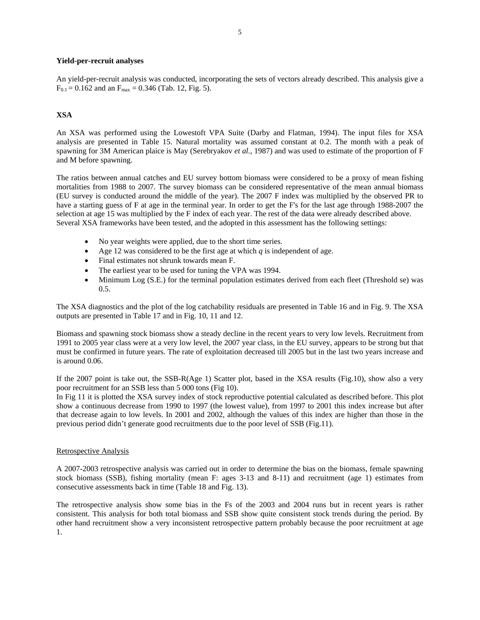### **Yield-per-recruit analyses**

An yield-per-recruit analysis was conducted, incorporating the sets of vectors already described. This analysis give a  $F_{0.1} = 0.162$  and an  $F_{\text{max}} = 0.346$  (Tab. 12, Fig. 5).

# **XSA**

An XSA was performed using the Lowestoft VPA Suite (Darby and Flatman, 1994). The input files for XSA analysis are presented in Table 15. Natural mortality was assumed constant at 0.2. The month with a peak of spawning for 3M American plaice is May (Serebryakov *et al.*, 1987) and was used to estimate of the proportion of F and M before spawning.

The ratios between annual catches and EU survey bottom biomass were considered to be a proxy of mean fishing mortalities from 1988 to 2007. The survey biomass can be considered representative of the mean annual biomass (EU survey is conducted around the middle of the year). The 2007 F index was multiplied by the observed PR to have a starting guess of F at age in the terminal year. In order to get the F's for the last age through 1988-2007 the selection at age 15 was multiplied by the F index of each year. The rest of the data were already described above. Several XSA frameworks have been tested, and the adopted in this assessment has the following settings:

- No year weights were applied, due to the short time series.
- Age 12 was considered to be the first age at which  $q$  is independent of age.
- Final estimates not shrunk towards mean F.
- The earliest year to be used for tuning the VPA was 1994.
- Minimum Log (S.E.) for the terminal population estimates derived from each fleet (Threshold se) was 0.5.

The XSA diagnostics and the plot of the log catchability residuals are presented in Table 16 and in Fig. 9. The XSA outputs are presented in Table 17 and in Fig. 10, 11 and 12.

Biomass and spawning stock biomass show a steady decline in the recent years to very low levels. Recruitment from 1991 to 2005 year class were at a very low level, the 2007 year class, in the EU survey, appears to be strong but that must be confirmed in future years. The rate of exploitation decreased till 2005 but in the last two years increase and is around 0.06.

If the 2007 point is take out, the SSB-R(Age 1) Scatter plot, based in the XSA results (Fig.10), show also a very poor recruitment for an SSB less than 5 000 tons (Fig 10).

In Fig 11 it is plotted the XSA survey index of stock reproductive potential calculated as described before. This plot show a continuous decrease from 1990 to 1997 (the lowest value), from 1997 to 2001 this index increase but after that decrease again to low levels. In 2001 and 2002, although the values of this index are higher than those in the previous period didn't generate good recruitments due to the poor level of SSB (Fig.11).

### Retrospective Analysis

A 2007-2003 retrospective analysis was carried out in order to determine the bias on the biomass, female spawning stock biomass (SSB), fishing mortality (mean F: ages 3-13 and 8-11) and recruitment (age 1) estimates from consecutive assessments back in time (Table 18 and Fig. 13).

The retrospective analysis show some bias in the Fs of the 2003 and 2004 runs but in recent years is rather consistent. This analysis for both total biomass and SSB show quite consistent stock trends during the period. By other hand recruitment show a very inconsistent retrospective pattern probably because the poor recruitment at age 1.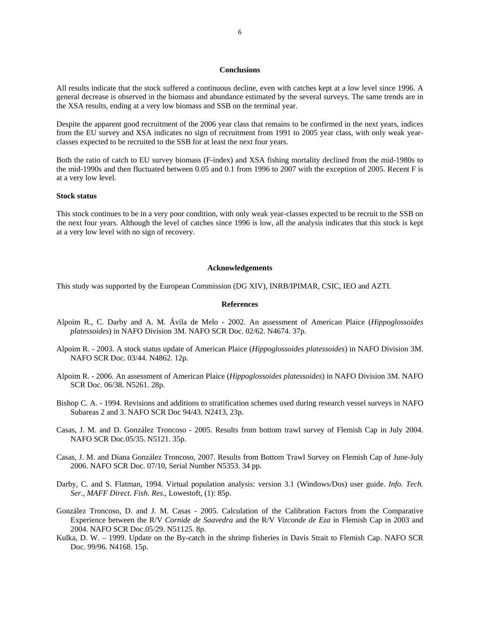#### **Conclusions**

All results indicate that the stock suffered a continuous decline, even with catches kept at a low level since 1996. A general decrease is observed in the biomass and abundance estimated by the several surveys. The same trends are in the XSA results, ending at a very low biomass and SSB on the terminal year.

Despite the apparent good recruitment of the 2006 year class that remains to be confirmed in the next years, indices from the EU survey and XSA indicates no sign of recruitment from 1991 to 2005 year class, with only weak yearclasses expected to be recruited to the SSB for at least the next four years.

Both the ratio of catch to EU survey biomass (F-index) and XSA fishing mortality declined from the mid-1980s to the mid-1990s and then fluctuated between 0.05 and 0.1 from 1996 to 2007 with the exception of 2005. Recent F is at a very low level.

#### **Stock status**

This stock continues to be in a very poor condition, with only weak year-classes expected to be recruit to the SSB on the next four years. Although the level of catches since 1996 is low, all the analysis indicates that this stock is kept at a very low level with no sign of recovery.

#### **Acknowledgements**

This study was supported by the European Commission (DG XIV), INRB/IPIMAR, CSIC, IEO and AZTI.

### **References**

- Alpoim R., C. Darby and A. M. Ávila de Melo 2002. An assessment of American Plaice (*Hippoglossoides platessoides*) in NAFO Division 3M. NAFO SCR Doc. 02/62. N4674. 37p.
- Alpoim R. 2003. A stock status update of American Plaice (*Hippoglossoides platessoides*) in NAFO Division 3M. NAFO SCR Doc. 03/44. N4862. 12p.
- Alpoim R. 2006. An assessment of American Plaice (*Hippoglossoides platessoides*) in NAFO Division 3M. NAFO SCR Doc. 06/38. N5261. 28p.
- Bishop C. A. 1994. Revisions and additions to stratification schemes used during research vessel surveys in NAFO Subareas 2 and 3. NAFO SCR Doc 94/43. N2413, 23p.
- Casas, J. M. and D. González Troncoso 2005. Results from bottom trawl survey of Flemish Cap in July 2004. NAFO SCR Doc.05/35. N5121. 35p.
- Casas, J. M. and Diana González Troncoso, 2007. Results from Bottom Trawl Survey on Flemish Cap of June-July 2006. NAFO SCR Doc. 07/10, Serial Number N5353. 34 pp.
- Darby, C. and S. Flatman, 1994. Virtual population analysis: version 3.1 (Windows/Dos) user guide. *Info. Tech. Ser., MAFF Direct. Fish. Res*., Lowestoft, (1): 85p.
- González Troncoso, D. and J. M. Casas 2005. Calculation of the Calibration Factors from the Comparative Experience between the R/V *Cornide de Saavedra* and the R/V *Vizconde de Eza* in Flemish Cap in 2003 and 2004. NAFO SCR Doc.05/29. N51125. 8p.
- Kulka, D. W. 1999. Update on the By-catch in the shrimp fisheries in Davis Strait to Flemish Cap. NAFO SCR Doc. 99/96. N4168. 15p.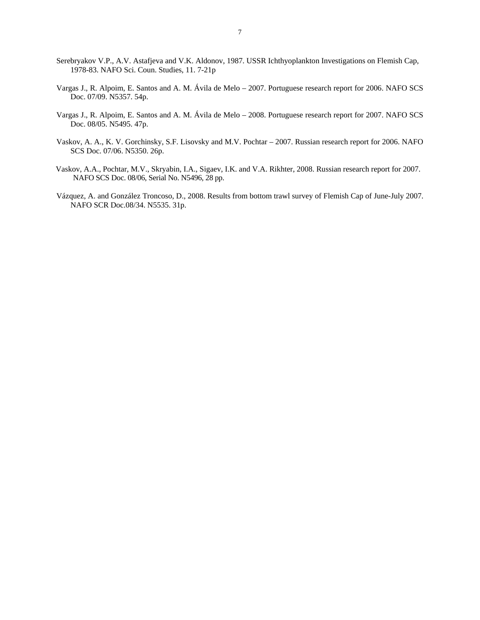- Serebryakov V.P., A.V. Astafjeva and V.K. Aldonov, 1987. USSR Ichthyoplankton Investigations on Flemish Cap, 1978-83. NAFO Sci. Coun. Studies, 11. 7-21p
- Vargas J., R. Alpoim, E. Santos and A. M. Ávila de Melo 2007. Portuguese research report for 2006. NAFO SCS Doc. 07/09. N5357. 54p.
- Vargas J., R. Alpoim, E. Santos and A. M. Ávila de Melo 2008. Portuguese research report for 2007. NAFO SCS Doc. 08/05. N5495. 47p.
- Vaskov, A. A., K. V. Gorchinsky, S.F. Lisovsky and M.V. Pochtar 2007. Russian research report for 2006. NAFO SCS Doc. 07/06. N5350. 26p.
- Vaskov, A.A., Pochtar, M.V., Skryabin, I.A., Sigaev, I.K. and V.A. Rikhter, 2008. Russian research report for 2007. NAFO SCS Doc. 08/06, Serial No. N5496, 28 pp.
- Vázquez, A. and González Troncoso, D., 2008. Results from bottom trawl survey of Flemish Cap of June-July 2007. NAFO SCR Doc.08/34. N5535. 31p.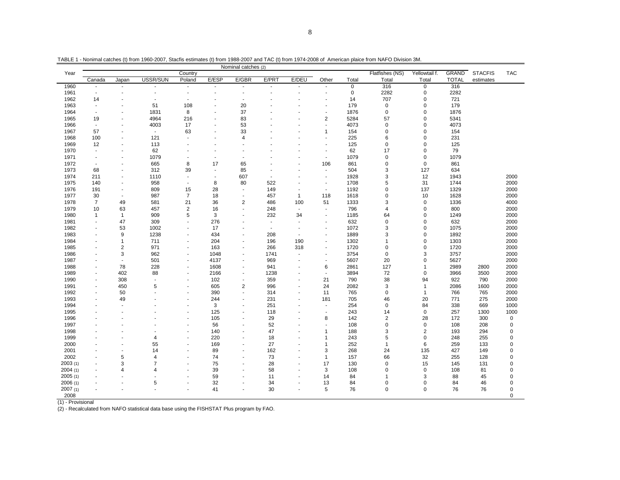|      |              |                          |          |                |       | Nominal catches (2)      |                          |       |                          |             |                 |               |              |                |            |
|------|--------------|--------------------------|----------|----------------|-------|--------------------------|--------------------------|-------|--------------------------|-------------|-----------------|---------------|--------------|----------------|------------|
| Year |              |                          |          | Country        |       |                          |                          |       |                          |             | Flatfishes (NS) | Yellowtail f. | <b>GRAND</b> | <b>STACFIS</b> | <b>TAC</b> |
|      | Canada       | Japan                    | USSR/SUN | Poland         | E/ESP | E/GBR                    | E/PRT                    | E/DEU | Other                    | Total       | Total           | Total         | <b>TOTAL</b> | estimates      |            |
| 1960 |              | $\blacksquare$           |          | ٠              |       | $\blacksquare$           |                          |       | $\blacksquare$           | $\mathbf 0$ | 316             | $\mathbf 0$   | 316          |                |            |
| 1961 |              |                          |          |                |       |                          |                          |       |                          | 0           | 2282            | 0             | 2282         |                |            |
| 1962 | 14           |                          |          |                |       |                          |                          |       |                          | 14          | 707             | 0             | 721          |                |            |
| 1963 |              |                          | 51       | 108            |       | 20                       |                          |       | ٠                        | 179         | $\mathbf 0$     | 0             | 179          |                |            |
| 1964 |              | $\overline{a}$           | 1831     | 8              |       | 37                       |                          |       | $\overline{a}$           | 1876        | $\mathbf 0$     | 0             | 1876         |                |            |
| 1965 | 19           | $\blacksquare$           | 4964     | 216            |       | 83                       |                          |       | $\overline{2}$           | 5284        | 57              | 0             | 5341         |                |            |
| 1966 |              | $\blacksquare$           | 4003     | 17             |       | 53                       |                          |       | ٠                        | 4073        | 0               | 0             | 4073         |                |            |
| 1967 | 57           |                          |          | 63             |       | 33                       |                          |       | $\mathbf{1}$             | 154         | $\Omega$        | $\Omega$      | 154          |                |            |
| 1968 | 100          | ٠                        | 121      |                |       | 4                        |                          |       |                          | 225         | 6               | $\Omega$      | 231          |                |            |
| 1969 | 12           | $\blacksquare$           | 113      |                |       | $\blacksquare$           |                          |       | ٠                        | 125         | 0               | 0             | 125          |                |            |
| 1970 |              |                          | 62       |                |       |                          |                          |       |                          | 62          | 17              | 0             | 79           |                |            |
| 1971 |              |                          | 1079     |                |       |                          |                          |       | $\blacksquare$           | 1079        | 0               | 0             | 1079         |                |            |
| 1972 |              |                          | 665      | 8              | 17    | 65                       |                          |       | 106                      | 861         | 0               | $\mathbf 0$   | 861          |                |            |
| 1973 | 68           |                          | 312      | 39             |       | 85                       |                          |       | $\sim$                   | 504         | 3               | 127           | 634          |                |            |
| 1974 | 211          | $\overline{\phantom{a}}$ | 1110     |                |       | 607                      |                          |       | $\overline{\phantom{a}}$ | 1928        | 3               | 12            | 1943         |                | 2000       |
| 1975 | 140          | $\overline{\phantom{a}}$ | 958      |                | 8     | 80                       | 522                      |       | ٠                        | 1708        | 5               | 31            | 1744         |                | 2000       |
| 1976 | 191          | ٠                        | 809      | 15             | 28    | $\blacksquare$           | 149                      |       | $\sim$                   | 1192        | 0               | 137           | 1329         |                | 2000       |
| 1977 | 30           | $\blacksquare$           | 987      | $\overline{7}$ | 18    | $\blacksquare$           | 457                      | -1    | 118                      | 1618        | $\Omega$        | 10            | 1628         |                | 2000       |
| 1978 | 7            | 49                       | 581      | 21             | 36    | 2                        | 486                      | 100   | 51                       | 1333        | 3               | 0             | 1336         |                | 4000       |
| 1979 | 10           | 63                       | 457      | $\overline{c}$ | 16    | $\overline{\phantom{a}}$ | 248                      |       | ÷                        | 796         | $\overline{4}$  | 0             | 800          |                | 2000       |
| 1980 | $\mathbf{1}$ | $\mathbf{1}$             | 909      | 5              | 3     |                          | 232                      | 34    | $\overline{a}$           | 1185        | 64              | 0             | 1249         |                | 2000       |
| 1981 |              | 47                       | 309      |                | 276   |                          | $\overline{\phantom{a}}$ |       | $\sim$                   | 632         | $\mathbf 0$     | $\Omega$      | 632          |                | 2000       |
| 1982 |              | 53                       | 1002     |                | 17    |                          |                          |       | ٠                        | 1072        | 3               | 0             | 1075         |                | 2000       |
| 1983 |              | 9                        | 1238     |                | 434   | $\overline{a}$           | 208                      |       | $\overline{a}$           | 1889        | 3               | 0             | 1892         |                | 2000       |
| 1984 |              | 1                        | 711      |                | 204   | $\overline{a}$           | 196                      | 190   | ٠                        | 1302        |                 | 0             | 1303         |                | 2000       |
| 1985 |              | $\overline{2}$           | 971      | ٠              | 163   | $\blacksquare$           | 266                      | 318   | $\overline{\phantom{a}}$ | 1720        | $\Omega$        | 0             | 1720         |                | 2000       |
| 1986 |              | 3                        | 962      | ٠              | 1048  | $\blacksquare$           | 1741                     |       | ٠                        | 3754        | $\mathbf 0$     | 3             | 3757         |                | 2000       |
| 1987 |              | $\blacksquare$           | 501      | ٠              | 4137  | $\blacksquare$           | 969                      |       | ٠                        | 5607        | 20              | $\Omega$      | 5627         |                | 2000       |
| 1988 |              | 78                       | 228      |                | 1608  | $\blacksquare$           | 941                      |       | 6                        | 2861        | 127             |               | 2989         | 2800           | 2000       |
| 1989 |              | 402                      | 88       |                | 2166  | $\overline{\phantom{a}}$ | 1238                     |       | $\overline{\phantom{a}}$ | 3894        | 72              | 0             | 3966         | 3500           | 2000       |
| 1990 |              | 308                      |          | ٠              | 102   |                          | 359                      |       | 21                       | 790         | 38              | 94            | 922          | 790            | 2000       |
| 1991 |              | 450                      | 5        |                | 605   | $\overline{c}$           | 996                      |       | 24                       | 2082        | 3               | 1             | 2086         | 1600           | 2000       |
| 1992 |              | 50                       |          |                | 390   |                          | 314                      |       | 11                       | 765         | $\Omega$        | 1             | 766          | 765            | 2000       |
| 1993 |              | 49                       |          |                | 244   |                          | 231                      |       | 181                      | 705         | 46              | 20            | 771          | 275            | 2000       |
| 1994 |              |                          |          |                | 3     | $\overline{\phantom{a}}$ | 251                      |       | $\sim$                   | 254         | 0               | 84            | 338          | 669            | 1000       |
| 1995 |              |                          |          |                | 125   |                          | 118                      |       |                          | 243         | 14              | $\Omega$      | 257          | 1300           | 1000       |

- - - - 105 - 29 - 8 142 2 28 172 300 0

 - - - - 56 - 52 - - 108 0 0 108 208 0 - - - - 140 - 47 - 1 188 3 2 193 294 0- - 4 - 220 - 18 - 1 243 5 0 248 255 0

- - 55 - 169 - 27 - 1 252 1 6 259 133 0

- - 14 - 89 - 162 - 3 268 24 135 427 149 0

- 5 4 - 74 - 73 - 1 157 66 32 255 128 0

0

2003 (1) - 3 7 - 75 - 28 - 17 130 0 15 145 131 0 2004 (1) - 4 4 - 39 - 58 - 3 108 0 0 108 81 0 2005 (1) - - - - 59 - 11 - 14 84 1 3 88 45 0 2006 (1) - - 5 - 32 - 34 - 13 84 0 0 84 46 0 2007 (1) - - - - 41 - 30 - 5 76 0 0 76 76 0

2000<br>2000

2000<br>2000

 $\mathbf 0$ 

 $\mathbf 0$ 

 $\mathbf 0$ 

 $\mathsf 0$ 

 $\mathbf 0$ 

TABLE 1 - Nonimal catches (t) from 1960-2007, Stacfis estimates (t) from 1988-2007 and TAC (t) from 1974-2008 of American plaice from NAFO Division 3M.

(1) - Provisional

(2) - Recalculated from NAFO statistical data base using the FISHSTAT Plus program by FAO.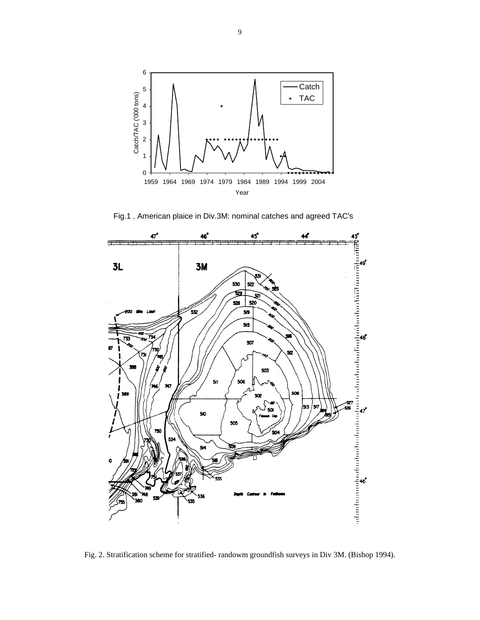



Fig. 2. Stratification scheme for stratified- randowm groundfish surveys in Div 3M. (Bishop 1994).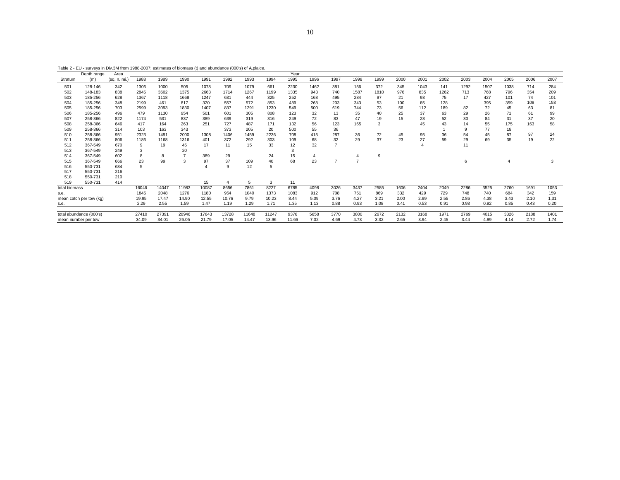Table 2 - EU - surveys in Div.3M from 1988-2007: estimates of biomass (t) and abundance (000's) of A.plaice.

|                     | Depth range             | Area         |       |       |                |       |       |       |       | Year  |      |                |                |      |      |      |      |      |      |      |      |      |
|---------------------|-------------------------|--------------|-------|-------|----------------|-------|-------|-------|-------|-------|------|----------------|----------------|------|------|------|------|------|------|------|------|------|
| Stratum             | (m)                     | (sq. n. mi.) | 1988  | 1989  | 1990           | 1991  | 1992  | 1993  | 1994  | 1995  | 1996 | 1997           | 1998           | 1999 | 2000 | 2001 | 2002 | 2003 | 2004 | 2005 | 2006 | 2007 |
| 501                 | 128-146                 | 342          | 1306  | 1000  | 505            | 1078  | 709   | 1079  | 661   | 2230  | 1462 | 381            | 156            | 372  | 345  | 1043 | 141  | 1292 | 1507 | 1038 | 714  | 284  |
| 502                 | 148-183                 | 838          | 2845  | 3602  | 1375           | 2663  | 1714  | 1267  | 1199  | 1335  | 943  | 740            | 1587           | 1810 | 976  | 835  | 1262 | 713  | 768  | 796  | 354  | 209  |
| 503                 | 185-256                 | 628          | 1367  | 1118  | 1668           | 1247  | 631   | 444   | 325   | 252   | 168  | 495            | 284            | 97   | 21   | 93   | 75   | 17   | 427  | 101  | 74   | 101  |
| 504                 | 185-256                 | 348          | 2199  | 461   | 817            | 320   | 557   | 572   | 853   | 489   | 268  | 203            | 343            | 53   | 100  | 85   | 128  |      | 395  | 359  | 109  | 153  |
| 505                 | 185-256                 | 703          | 2599  | 3093  | 1830           | 1407  | 837   | 1291  | 1230  | 549   | 500  | 619            | 744            | 73   | 56   | 112  | 189  | 82   | 72   | 45   | 63   | 81   |
| 506                 | 185-256                 | 496          | 479   | 1130  | 954            | 501   | 601   | 305   | 808   | 123   | 32   | 13             | 35             | 40   | 25   | 37   | 63   | 29   | 26   | 71   | 61   | 99   |
| 507                 | 258-366                 | 822          | 1174  | 531   | 837            | 389   | 639   | 319   | 316   | 249   | 72   | 83             | 47             | 19   | 15   | 28   | 52   | 30   | 84   | 31   | 37   | 20   |
| 508                 | 258-366                 | 646          | 417   | 164   | 263            | 251   | 727   | 487   | 171   | 132   | 56   | 123            | 165            | 3    |      | 45   | 43   | 14   | 55   | 175  | 163  | 58   |
| 509                 | 258-366                 | 314          | 103   | 163   | 343            |       | 373   | 205   | 20    | 500   | 55   | 36             |                |      |      |      |      | 9    | 77   | 18   |      |      |
| 510                 | 258-366                 | 951          | 2323  | 1491  | 2000           | 1308  | 1406  | 1459  | 2236  | 708   | 415  | 287            | 36             | 72   | 45   | 95   | 36   | 54   | 45   | 87   | 97   | 24   |
| 511                 | 258-366                 | 806          | 1186  | 1168  | 1316           | 401   | 372   | 292   | 303   | 109   | 68   | 32             | 29             | 37   | 23   | 27   | 59   | 29   | 69   | 35   | 19   | 22   |
| 512                 | 367-549                 | 670          | 9     | 19    | 45             | 17    | 11    | 15    | 33    | 12    | 32   |                |                |      |      |      |      | 11   |      |      |      |      |
| 513                 | 367-549                 | 249          | 3     |       | 20             |       |       |       |       | 3     |      |                |                |      |      |      |      |      |      |      |      |      |
| 514                 | 367-549                 | 602          | 8     | 8     | $\overline{7}$ | 389   | 29    |       | 24    | 15    |      |                |                | 9    |      |      |      |      |      |      |      |      |
| 515                 | 367-549                 | 666          | 23    | 99    | 3              | 97    | 37    | 109   | 40    | 68    | 23   | $\overline{7}$ | $\overline{7}$ |      |      |      |      | 6    |      |      |      | 3    |
| 516                 | 550-731                 | 634          |       |       |                |       |       | 12    | 5     |       |      |                |                |      |      |      |      |      |      |      |      |      |
| 517                 | 550-731                 | 216          |       |       |                |       |       |       |       |       |      |                |                |      |      |      |      |      |      |      |      |      |
| 518                 | 550-731                 | 210          |       |       |                |       |       |       |       |       |      |                |                |      |      |      |      |      |      |      |      |      |
| 519                 | 550-731                 | 414          |       |       |                | 15    |       | 5     | 3     | 11    |      |                |                |      |      |      |      |      |      |      |      |      |
| total biomass       |                         |              | 16046 | 14047 | 11983          | 10087 | 8656  | 7861  | 8227  | 6785  | 4098 | 3026           | 3437           | 2585 | 1606 | 2404 | 2049 | 2286 | 3525 | 2760 | 1691 | 1053 |
| s.e.                |                         |              | 1845  | 2048  | 1276           | 1180  | 954   | 1040  | 1373  | 1083  | 912  | 708            | 751            | 869  | 332  | 429  | 729  | 748  | 740  | 684  | 342  | 159  |
|                     | mean catch per tow (kg) |              | 19.95 | 17.47 | 14.90          | 12.55 | 10.76 | 9.79  | 10.23 | 8.44  | 5.09 | 3.76           | 4.27           | 3.21 | 2.00 | 2.99 | 2.55 | 2.86 | 4.38 | 3.43 | 2.10 | 1,31 |
| s.e.                |                         |              | 2.29  | 2.55  | 1.59           | 1.47  | 1.19  | 1.29  | 1.71  | 1.35  | 1.13 | 0.88           | 0.93           | 1.08 | 0.41 | 0.53 | 0.91 | 0.93 | 0.92 | 0.85 | 0.43 | 0,20 |
|                     |                         |              |       |       |                |       |       |       |       |       |      |                |                |      |      |      |      |      |      |      |      |      |
|                     | total abundance (000's) |              | 27410 | 27391 | 20946          | 17643 | 13728 | 11648 | 11247 | 9376  | 5658 | 3770           | 3800           | 2672 | 2132 | 3168 | 1971 | 2769 | 4015 | 3326 | 2188 | 1401 |
| mean number per tow |                         |              | 34.09 | 34.01 | 26.05          | 21.79 | 17.05 | 14.47 | 13.96 | 11.66 | 7.02 | 4.69           | 4.73           | 3.32 | 2.65 | 3.94 | 2.45 | 3.44 | 4.99 | 4.14 | 2.72 | 1.74 |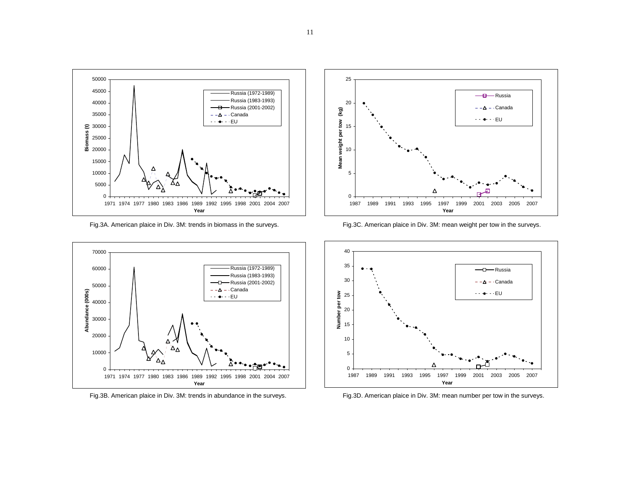





Fig.3A. American plaice in Div. 3M: trends in biomass in the surveys. Fig.3C. American plaice in Div. 3M: mean weight per tow in the surveys.



Fig.3B. American plaice in Div. 3M: trends in abundance in the surveys. Fig.3D. American plaice in Div. 3M: mean number per tow in the surveys.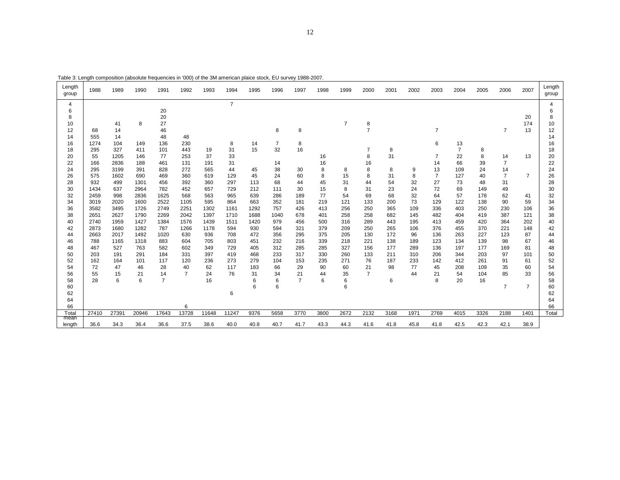|                 |      | able 3: Length composition (absolute frequencies in '000) of the 3M american plaice stock, EU survey 1988-2007. |      |      |      |      |      |      |      |      |      |      |      |      |      |                |      |      |      |      |                 |
|-----------------|------|-----------------------------------------------------------------------------------------------------------------|------|------|------|------|------|------|------|------|------|------|------|------|------|----------------|------|------|------|------|-----------------|
| Length<br>group | 1988 | 1989                                                                                                            | 1990 | 1991 | 1992 | 1993 | 1994 | 1995 | 1996 | 1997 | 1998 | 1999 | 2000 | 2001 | 2002 | 2003           | 2004 | 2005 | 2006 | 2007 | Length<br>group |
| 4               |      |                                                                                                                 |      |      |      |      | 7    |      |      |      |      |      |      |      |      |                |      |      |      |      |                 |
| 6               |      |                                                                                                                 |      | 20   |      |      |      |      |      |      |      |      |      |      |      |                |      |      |      |      |                 |
| 8               |      |                                                                                                                 |      | 20   |      |      |      |      |      |      |      |      |      |      |      |                |      |      |      | 20   |                 |
| 10              |      | 41                                                                                                              | 8    | 27   |      |      |      |      |      |      |      |      | 8    |      |      |                |      |      |      | 174  | 10              |
| 12              | 68   | 14                                                                                                              |      | 46   |      |      |      |      | 8    | 8    |      |      |      |      |      | $\overline{7}$ |      |      |      | 13   | 12              |
| 14              | 555  | 14                                                                                                              |      | 48   | 48   |      |      |      |      |      |      |      |      |      |      |                |      |      |      |      | 14              |
| 16              | 1274 | 104                                                                                                             | 149  | 136  | 230  |      | 8    | 14   | 7    | 8    |      |      |      |      |      | 6              | 13   |      |      |      | 16              |
| 18              | 295  | 327                                                                                                             | 411  | 101  | 443  | 19   | 31   | 15   | 32   | 16   |      |      |      | 8    |      |                |      | 8    |      |      | 18              |
| 20              | 55   | 1205                                                                                                            | 146  | 77   | 253  | 37   | 33   |      |      |      | 16   |      |      | 31   |      |                | 22   | 8    | 14   | 13   | 20              |
| 22              | 166  | 2836                                                                                                            | 188  | 461  | 131  | 191  | 31   |      | 14   |      | 16   |      | 16   |      |      | 14             | 66   | 39   |      |      | 22              |
| 24              | 295  | 3199                                                                                                            | 391  | 828  | 272  | 565  | 44   | 45   | 38   | 30   | 8    | 8    | 8    | 8    | 9    | 13             | 109  | 24   | 14   |      | 24              |
| 26              | 575  | 1602                                                                                                            | 690  | 469  | 360  | 619  | 129  | 45   | 24   | 60   | 8    | 15   | 8    | 31   | 8    | $\overline{7}$ | 127  | 40   |      |      | 26              |
| 28              | 932  | 499                                                                                                             | 1301 | 456  | 392  | 360  | 297  | 113  | 68   | 44   | 45   | 31   | 44   | 54   | 32   | 27             | 73   | 48   | 31   |      | 28              |
| 30              | 1434 | 637                                                                                                             | 2964 | 782  | 452  | 657  | 729  | 212  | 111  | 30   | 15   | 8    | 31   | 23   | 24   | 72             | 69   | 149  | 49   |      | 30              |
| 32              | 2459 | 998                                                                                                             | 2836 | 1625 | 568  | 563  | 965  | 639  | 286  | 189  | 77   | 54   | 69   | 68   | 32   | 64             | 57   | 178  | 62   | 41   | 32              |
| 34              | 3019 | 2020                                                                                                            | 1600 | 2522 | 1105 | 595  | 864  | 663  | 352  | 181  | 219  | 121  | 133  | 200  | 73   | 129            | 122  | 138  | 90   | 59   | 34              |
| 36              | 3582 | 3495                                                                                                            | 1726 | 2749 | 2251 | 1302 | 1161 | 1292 | 757  | 426  | 413  | 256  | 250  | 365  | 109  | 336            | 403  | 250  | 230  | 106  | 36              |
| 38              | 2651 | 2627                                                                                                            | 1790 | 2269 | 2042 | 1397 | 1710 | 1688 | 1040 | 678  | 401  | 258  | 258  | 682  | 145  | 482            | 404  | 419  | 387  | 121  | 38              |
| 40              | 2740 | 1959                                                                                                            | 1427 | 1384 | 1576 | 1439 | 1511 | 1420 | 979  | 456  | 500  | 316  | 289  | 443  | 195  | 413            | 459  | 420  | 364  | 202  | 40              |
| 42              | 2873 | 1680                                                                                                            | 1282 | 787  | 1266 | 1178 | 594  | 930  | 594  | 321  | 379  | 209  | 250  | 265  | 106  | 376            | 455  | 370  | 221  | 148  | 42              |
| 44              | 2663 | 2017                                                                                                            | 1492 | 1020 | 630  | 936  | 708  | 472  | 356  | 295  | 375  | 205  | 130  | 172  | 96   | 136            | 263  | 227  | 123  | 87   | 44              |
| 46              | 788  | 1165                                                                                                            | 1318 | 883  | 604  | 705  | 803  | 451  | 232  | 216  | 339  | 218  | 221  | 138  | 189  | 123            | 134  | 139  | 98   | 67   | 46              |

467 527 763 582 602 349 729 405 312 285 285 327 156 177 289 136 197 177 169 81 48

203 191 291 184 331 397 419 468 233 317 330 260 133 211 310 206 344 203 97 101 50

162 164 101 117 120 236 273 279 104 153 235 271 76 187 233 142 412 261 91 61 52

72 47 46 28 40 62 117 183 66 29 90 60 21 98 77 45 208 109 35 60 54

55 15 21 14 7 24 76 31 34 21 44 35 7 44 21 54 104 85 33 56

28 6 6 7 16 6 6 7 6 6 6 8 20 16 58

6 6 6 7 7 60

equal to the contract of the contract of the contract of the contract of the contract of the contract of the contract of the contract of the contract of the contract of the contract of the contract of the contract of the c

Total 27410 27391 20946 17643 13728 11648 11247 9376 5658 3770 3800 2672 2132 3168 1971 2769 4015 3326 2188 1401 Total

length 36.6 34.3 36.4 36.6 37.5 38.6 40.0 40.8 40.7 41.7 43.3 44.3 41.6 41.8 45.8 41.8 42.5 42.3 42.1 38.9

62 a constant de la constant de la constant de la constant de la constant de la constant de la constant de la <br>Desenvolución de la constant de la constant de la constant de la constant de la constant de la constant de la

66

54<br>56

Total

Table 3: Length

group

mean

6

6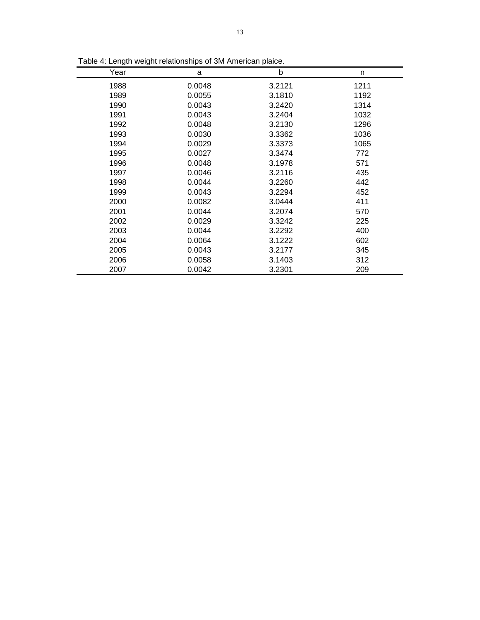| Year | a      | b      | n    |
|------|--------|--------|------|
|      |        |        |      |
| 1988 | 0.0048 | 3.2121 | 1211 |
| 1989 | 0.0055 | 3.1810 | 1192 |
| 1990 | 0.0043 | 3.2420 | 1314 |
| 1991 | 0.0043 | 3.2404 | 1032 |
| 1992 | 0.0048 | 3.2130 | 1296 |
| 1993 | 0.0030 | 3.3362 | 1036 |
| 1994 | 0.0029 | 3.3373 | 1065 |
| 1995 | 0.0027 | 3.3474 | 772  |
| 1996 | 0.0048 | 3.1978 | 571  |
| 1997 | 0.0046 | 3.2116 | 435  |
| 1998 | 0.0044 | 3.2260 | 442  |
| 1999 | 0.0043 | 3.2294 | 452  |
| 2000 | 0.0082 | 3.0444 | 411  |
| 2001 | 0.0044 | 3.2074 | 570  |
| 2002 | 0.0029 | 3.3242 | 225  |
| 2003 | 0.0044 | 3.2292 | 400  |
| 2004 | 0.0064 | 3.1222 | 602  |
| 2005 | 0.0043 | 3.2177 | 345  |
| 2006 | 0.0058 | 3.1403 | 312  |
| 2007 | 0.0042 | 3.2301 | 209  |

Table 4: Length weight relationships of 3M American plaice.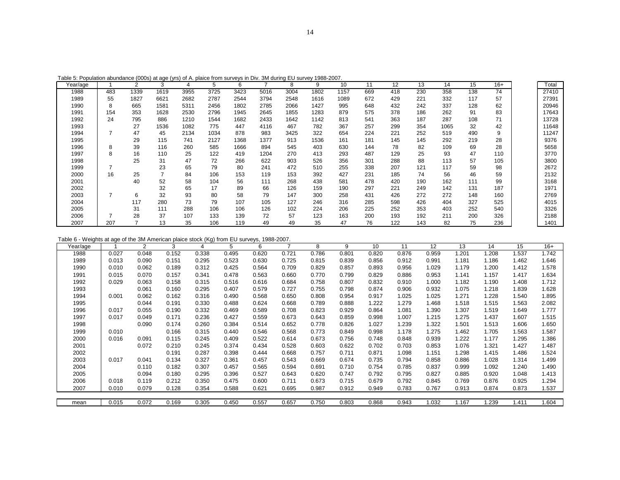|  | Table 5: Population abundance (000s) at age (yrs) of A. plaice from surveys in Div. 3M during EU survey 1988-2007. |
|--|--------------------------------------------------------------------------------------------------------------------|
|  |                                                                                                                    |

| Year/age |     | 2    |      | 4    | 5    | 6    |      | 8    | 9    | 10   | 11  | 12  | 13  | 14   | 15  | 16+ | Total |
|----------|-----|------|------|------|------|------|------|------|------|------|-----|-----|-----|------|-----|-----|-------|
| 1988     | 483 | 1339 | 1619 | 3955 | 3725 | 3423 | 5016 | 3004 | 1802 | 1157 | 669 | 418 | 230 | 358  | 138 | 74  | 27410 |
| 1989     | 55  | 1827 | 6621 | 2682 | 2787 | 2544 | 3794 | 2548 | 1616 | 1089 | 672 | 429 | 221 | 332  | 117 | 57  | 27391 |
| 1990     | 8   | 665  | 1581 | 5311 | 2456 | 1802 | 2785 | 2066 | 1427 | 995  | 648 | 432 | 242 | 337  | 128 | 62  | 20946 |
| 1991     | 154 | 353  | 1628 | 2530 | 2796 | 1945 | 2645 | 1855 | 1283 | 879  | 575 | 378 | 186 | 262  | 91  | 83  | 17643 |
| 1992     | 24  | 795  | 886  | 1210 | 1544 | 1682 | 2433 | 1642 | 1142 | 813  | 541 | 363 | 187 | 287  | 108 | 71  | 13728 |
| 1993     |     | 27   | 1536 | 1082 | 775  | 447  | 4116 | 467  | 782  | 367  | 257 | 299 | 354 | 1065 | 32  | 42  | 11648 |
| 1994     |     | 47   | 45   | 2134 | 1034 | 878  | 983  | 3425 | 322  | 654  | 224 | 221 | 252 | 519  | 490 | 9   | 11247 |
| 1995     |     | 29   | 115  | 741  | 2127 | 1368 | 1377 | 913  | 1536 | 161  | 181 | 145 | 145 | 292  | 219 | 28  | 9376  |
| 1996     | 8   | 39   | 116  | 260  | 585  | 1666 | 894  | 545  | 403  | 630  | 144 | 78  | 82  | 109  | 69  | 28  | 5658  |
| 1997     | 8   | 16   | 110  | 25   | 122  | 419  | 1204 | 270  | 413  | 293  | 487 | 129 | 25  | 93   | 47  | 110 | 3770  |
| 1998     |     | 25   | 31   | 47   | 72   | 266  | 622  | 903  | 526  | 356  | 301 | 288 | 88  | 113  | 57  | 105 | 3800  |
| 1999     |     |      | 23   | 65   | 79   | 80   | 241  | 472  | 510  | 255  | 338 | 207 | 121 | 117  | 59  | 98  | 2672  |
| 2000     | 16  | 25   |      | 84   | 106  | 153  | 119  | 153  | 392  | 427  | 231 | 185 | 74  | 56   | 46  | 59  | 2132  |
| 2001     |     | 40   | 52   | 58   | 104  | 56   | 111  | 268  | 438  | 581  | 478 | 420 | 190 | 162  | 111 | 99  | 3168  |
| 2002     |     |      | 32   | 65   | 17   | 89   | 66   | 126  | 159  | 190  | 297 | 221 | 249 | 142  | 131 | 187 | 1971  |
| 2003     |     | 6    | 32   | 93   | 80   | 58   | 79   | 147  | 300  | 258  | 431 | 426 | 272 | 272  | 148 | 160 | 2769  |
| 2004     |     | 117  | 280  | 73   | 79   | 107  | 105  | 127  | 246  | 316  | 285 | 598 | 426 | 404  | 327 | 525 | 4015  |
| 2005     |     | 31   | 111  | 288  | 106  | 106  | 126  | 102  | 224  | 206  | 225 | 252 | 353 | 403  | 252 | 540 | 3326  |
| 2006     |     | 28   | 37   | 107  | 133  | 139  | 72   | 57   | 123  | 163  | 200 | 193 | 192 | 211  | 200 | 326 | 2188  |
| 2007     | 207 |      | 13   | 35   | 106  | 119  | 49   | 49   | 35   | 47   | 76  | 122 | 143 | 82   | 75  | 236 | 1401  |

Table 6 - Weights at age of the 3M American plaice stock (Kg) from EU surveys, 1988-2007.

| Year/age |       | 2     | 3     |       | 5     | 6     |       | 8     | 9     | 10    | 11    | 12    | 13    | 14    | 15    | $16+$ |
|----------|-------|-------|-------|-------|-------|-------|-------|-------|-------|-------|-------|-------|-------|-------|-------|-------|
| 1988     | 0.027 | 0.048 | 0.152 | 0.338 | 0.495 | 0.620 | 0.721 | 0.786 | 0.801 | 0.820 | 0.876 | 0.959 | 1.201 | 1.208 | 1.537 | 1.742 |
| 1989     | 0.013 | 0.090 | 0.151 | 0.295 | 0.523 | 0.630 | 0.725 | 0.815 | 0.839 | 0.856 | 0.912 | 0.991 | 1.181 | 1.186 | 1.462 | 1.646 |
| 1990     | 0.010 | 0.062 | 0.189 | 0.312 | 0.425 | 0.564 | 0.709 | 0.829 | 0.857 | 0.893 | 0.956 | 1.029 | 1.179 | 1.200 | 1.412 | 1.578 |
| 1991     | 0.015 | 0.070 | 0.157 | 0.341 | 0.478 | 0.563 | 0.660 | 0.770 | 0.799 | 0.829 | 0.886 | 0.953 | 1.141 | 1.157 | 1.417 | 1.634 |
| 1992     | 0.029 | 0.063 | 0.158 | 0.315 | 0.516 | 0.616 | 0.684 | 0.758 | 0.807 | 0.832 | 0.910 | 1.000 | 1.182 | 1.190 | 1.408 | 1.712 |
| 1993     |       | 0.061 | 0.160 | 0.295 | 0.407 | 0.579 | 0.727 | 0.755 | 0.798 | 0.874 | 0.906 | 0.932 | 1.075 | 1.218 | 1.839 | 1.628 |
| 1994     | 0.001 | 0.062 | 0.162 | 0.316 | 0.490 | 0.568 | 0.650 | 0.808 | 0.954 | 0.917 | 1.025 | 1.025 | 1.271 | 1.228 | 1.540 | 1.895 |
| 1995     |       | 0.044 | 0.191 | 0.330 | 0.488 | 0.624 | 0.668 | 0.789 | 0.888 | 1.222 | 1.279 | 1.468 | 1.518 | 1.515 | 1.563 | 2.082 |
| 1996     | 0.017 | 0.055 | 0.190 | 0.332 | 0.469 | 0.589 | 0.708 | 0.823 | 0.929 | 0.864 | 1.081 | 1.390 | 1.307 | 1.519 | 1.649 | 1.777 |
| 1997     | 0.017 | 0.049 | 0.171 | 0.236 | 0.427 | 0.559 | 0.673 | 0.643 | 0.859 | 0.998 | 1.007 | 1.215 | 1.275 | 1.437 | 1.607 | 1.515 |
| 1998     |       | 0.090 | 0.174 | 0.260 | 0.384 | 0.514 | 0.652 | 0.778 | 0.826 | 1.027 | 1.239 | 1.322 | 1.501 | 1.513 | 1.606 | 1.650 |
| 1999     | 0.010 |       | 0.166 | 0.315 | 0.440 | 0.546 | 0.568 | 0.773 | 0.849 | 0.998 | 1.178 | 1.275 | 1.462 | 1.705 | 1.563 | 1.587 |
| 2000     | 0.016 | 0.091 | 0.115 | 0.245 | 0.409 | 0.522 | 0.614 | 0.673 | 0.756 | 0.748 | 0.848 | 0.939 | 1.222 | 1.177 | 1.295 | 1.386 |
| 2001     |       | 0.072 | 0.210 | 0.245 | 0.374 | 0.434 | 0.528 | 0.603 | 0.622 | 0.702 | 0.703 | 0.853 | 1.076 | 1.321 | 1.427 | 1.487 |
| 2002     |       |       | 0.191 | 0.287 | 0.398 | 0.444 | 0.668 | 0.757 | 0.711 | 0.871 | 1.098 | 1.151 | 1.298 | 1.415 | 1.486 | 1.524 |
| 2003     | 0.017 | 0.041 | 0.134 | 0.327 | 0.361 | 0.457 | 0.543 | 0.669 | 0.674 | 0.735 | 0.794 | 0.858 | 0.886 | 1.028 | 1.314 | 1.499 |
| 2004     |       | 0.110 | 0.182 | 0.307 | 0.457 | 0.565 | 0.594 | 0.691 | 0.710 | 0.754 | 0.785 | 0.837 | 0.999 | 1.092 | 1.240 | 1.490 |
| 2005     |       | 0.094 | 0.180 | 0.295 | 0.396 | 0.527 | 0.643 | 0.620 | 0.747 | 0.792 | 0.795 | 0.827 | 0.885 | 0.920 | 1.048 | 1.413 |
| 2006     | 0.018 | 0.119 | 0.212 | 0.350 | 0.475 | 0.600 | 0.711 | 0.673 | 0.715 | 0.679 | 0.792 | 0.845 | 0.769 | 0.876 | 0.925 | 1.294 |
| 2007     | 0.010 | 0.079 | 0.128 | 0.354 | 0.588 | 0.621 | 0.695 | 0.987 | 0.912 | 0.949 | 0.783 | 0.767 | 0.913 | 0.874 | 0.873 | 1.537 |
|          |       |       |       |       |       |       |       |       |       |       |       |       |       |       |       |       |
| mean     | 0.015 | 0.072 | 0.169 | 0.305 | 0.450 | 0.557 | 0.657 | 0.750 | 0.803 | 0.868 | 0.943 | 1.032 | 1.167 | .239  | 1.411 | .604  |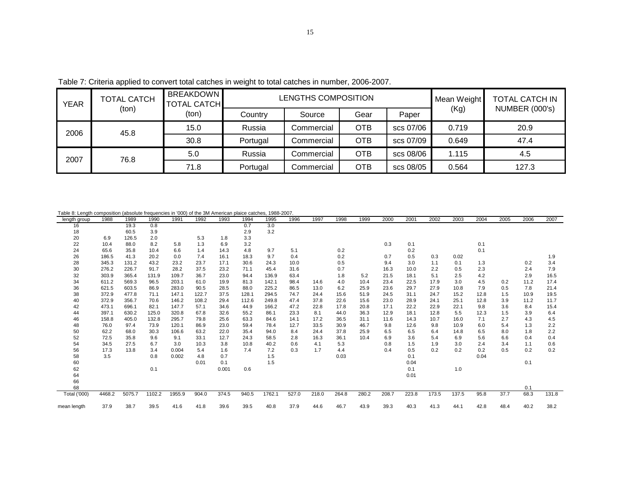Table 7: Criteria applied to convert total catches in weight to total catches in number, 2006-2007.

| <b>YEAR</b> | <b>TOTAL CATCH</b> | <b>BREAKDOWN</b><br><b>TOTAL CATCH</b> |          | LENGTHS COMPOSITION |            |           | Mean Weight | <b>TOTAL CATCH IN</b> |
|-------------|--------------------|----------------------------------------|----------|---------------------|------------|-----------|-------------|-----------------------|
|             | (ton)              | (ton)                                  | Country  | Source              | Gear       | Paper     | (Kg)        | NUMBER (000's)        |
| 2006        | 45.8               | 15.0                                   | Russia   | Commercial          | <b>OTB</b> | scs 07/06 | 0.719       | 20.9                  |
|             |                    | 30.8                                   | Portugal | Commercial          | <b>OTB</b> | scs 07/09 | 0.649       | 47.4                  |
| 2007        | 76.8               | 5.0                                    | Russia   | Commercial          | <b>OTB</b> | scs 08/06 | 1.115       | 4.5                   |
|             |                    | 71.8                                   | Portugal | Commercial          | <b>OTB</b> | scs 08/05 | 0.564       | 127.3                 |

| Table 8: Length composition (absolute frequencies in '000) of the 3M American plaice catches, 1988-2007. |        |        |        |        |       |       |       |        |       |       |       |       |       |       |       |       |      |      |      |       |
|----------------------------------------------------------------------------------------------------------|--------|--------|--------|--------|-------|-------|-------|--------|-------|-------|-------|-------|-------|-------|-------|-------|------|------|------|-------|
| length group                                                                                             | 1988   | 1989   | 1990   | 1991   | 1992  | 1993  | 1994  | 1995   | 1996  | 1997  | 1998  | 1999  | 2000  | 2001  | 2002  | 2003  | 2004 | 2005 | 2006 | 2007  |
| 16                                                                                                       |        | 19.3   | 0.8    |        |       |       | 0.7   | 3.0    |       |       |       |       |       |       |       |       |      |      |      |       |
| 18                                                                                                       |        | 60.5   | 3.9    |        |       |       | 2.9   | 3.2    |       |       |       |       |       |       |       |       |      |      |      |       |
| 20                                                                                                       | 6.9    | 126.5  | 2.0    |        | 5.3   | 1.8   | 3.3   |        |       |       |       |       |       |       |       |       |      |      |      |       |
| 22                                                                                                       | 10.4   | 88.0   | 8.2    | 5.8    | 1.3   | 6.9   | 3.2   |        |       |       |       |       | 0.3   | 0.1   |       |       | 0.1  |      |      |       |
| 24                                                                                                       | 65.6   | 35.8   | 10.4   | 6.6    | 1.4   | 14.3  | 4.8   | 9.7    | 5.1   |       | 0.2   |       |       | 0.2   |       |       | 0.1  |      |      |       |
| 26                                                                                                       | 186.5  | 41.3   | 20.2   | 0.0    | 7.4   | 16.1  | 18.3  | 9.7    | 0.4   |       | 0.2   |       | 0.7   | 0.5   | 0.3   | 0.02  |      |      |      | 1.9   |
| 28                                                                                                       | 345.3  | 131.2  | 43.2   | 23.2   | 23.7  | 17.1  | 30.6  | 24.3   | 10.0  |       | 0.5   |       | 9.4   | 3.0   | 1.1   | 0.1   | 1.3  |      | 0.2  | 3.4   |
| 30                                                                                                       | 276.2  | 226.7  | 91.7   | 28.2   | 37.5  | 23.2  | 71.1  | 45.4   | 31.6  |       | 0.7   |       | 16.3  | 10.0  | 2.2   | 0.5   | 2.3  |      | 2.4  | 7.9   |
| 32                                                                                                       | 303.9  | 365.4  | 131.9  | 109.7  | 36.7  | 23.0  | 94.4  | 136.9  | 63.4  |       | 1.8   | 5.2   | 21.5  | 18.1  | 5.1   | 2.5   | 4.2  |      | 2.9  | 16.5  |
| 34                                                                                                       | 611.2  | 569.3  | 96.5   | 203.1  | 61.0  | 19.9  | 81.3  | 142.1  | 98.4  | 14.6  | 4.0   | 10.4  | 23.4  | 22.5  | 17.9  | 3.0   | 4.5  | 0.2  | 11.2 | 17.4  |
| 36                                                                                                       | 621.5  | 603.5  | 86.9   | 283.0  | 90.5  | 28.5  | 88.0  | 225.2  | 86.5  | 13.0  | 6.2   | 25.9  | 23.6  | 29.7  | 27.9  | 10.8  | 7.9  | 0.5  | 7.8  | 21.4  |
| 38                                                                                                       | 372.9  | 477.8  | 71.1   | 147.1  | 122.7 | 37.5  | 128.1 | 294.5  | 74.7  | 24.4  | 15.6  | 51.9  | 24.5  | 31.1  | 24.7  | 15.2  | 12.8 | 1.5  | 10.9 | 19.5  |
| 40                                                                                                       | 372.9  | 356.7  | 70.6   | 146.2  | 108.2 | 29.4  | 112.6 | 249.8  | 47.4  | 37.8  | 22.6  | 15.6  | 23.0  | 28.9  | 24.1  | 25.1  | 12.8 | 3.9  | 11.2 | 11.7  |
| 42                                                                                                       | 473.1  | 696.1  | 82.1   | 147.7  | 57.1  | 34.6  | 44.9  | 166.2  | 47.2  | 22.8  | 17.8  | 20.8  | 17.1  | 22.2  | 22.9  | 22.1  | 9.8  | 3.6  | 8.4  | 15.4  |
| 44                                                                                                       | 397.1  | 630.2  | 125.0  | 320.8  | 67.8  | 32.6  | 55.2  | 86.1   | 23.3  | 8.1   | 44.0  | 36.3  | 12.9  | 18.1  | 12.8  | 5.5   | 12.3 | 1.5  | 3.9  | 6.4   |
| 46                                                                                                       | 158.8  | 405.0  | 132.8  | 295.7  | 79.8  | 25.6  | 63.3  | 84.6   | 14.1  | 17.2  | 36.5  | 31.1  | 11.6  | 14.3  | 10.7  | 16.0  | 7.1  | 2.7  | 4.3  | 4.5   |
| 48                                                                                                       | 76.0   | 97.4   | 73.9   | 120.1  | 86.9  | 23.0  | 59.4  | 78.4   | 12.7  | 33.5  | 30.9  | 46.7  | 9.8   | 12.6  | 9.8   | 10.9  | 6.0  | 5.4  | 1.3  | 2.2   |
| 50                                                                                                       | 62.2   | 68.0   | 30.3   | 106.6  | 63.2  | 22.0  | 35.4  | 94.0   | 8.4   | 24.4  | 37.8  | 25.9  | 6.5   | 6.5   | 6.4   | 14.8  | 6.5  | 8.0  | 1.8  | 2.2   |
| 52                                                                                                       | 72.5   | 35.8   | 9.6    | 9.1    | 33.1  | 12.7  | 24.3  | 58.5   | 2.8   | 16.3  | 36.1  | 10.4  | 6.9   | 3.6   | 5.4   | 6.9   | 5.6  | 6.6  | 0.4  | 0.4   |
| 54                                                                                                       | 34.5   | 27.5   | 6.7    | 3.0    | 10.3  | 3.8   | 10.8  | 40.2   | 0.6   | 4.1   | 5.3   |       | 0.8   | 1.5   | 1.9   | 3.0   | 2.4  | 3.4  | 1.1  | 0.6   |
| 56                                                                                                       | 17.3   | 13.8   | 3.4    | 0.004  | 5.4   | 1.6   | 7.4   | 7.2    | 0.3   | 1.7   | 4.4   |       | 0.4   | 0.5   | 0.2   | 0.2   | 0.2  | 0.5  | 0.2  | 0.2   |
| 58                                                                                                       | 3.5    |        | 0.8    | 0.002  | 4.8   | 0.7   |       | 1.5    |       |       | 0.03  |       |       | 0.1   |       |       | 0.04 |      |      |       |
| 60                                                                                                       |        |        |        |        | 0.01  | 0.1   |       | 1.5    |       |       |       |       |       | 0.04  |       |       |      |      | 0.1  |       |
| 62                                                                                                       |        |        | 0.1    |        |       | 0.001 | 0.6   |        |       |       |       |       |       | 0.1   |       | 1.0   |      |      |      |       |
| 64                                                                                                       |        |        |        |        |       |       |       |        |       |       |       |       |       | 0.01  |       |       |      |      |      |       |
| 66                                                                                                       |        |        |        |        |       |       |       |        |       |       |       |       |       |       |       |       |      |      |      |       |
| 68                                                                                                       |        |        |        |        |       |       |       |        |       |       |       |       |       |       |       |       |      |      | 0.1  |       |
| Total ('000)                                                                                             | 4468.2 | 5075.7 | 1102.2 | 1955.9 | 904.0 | 374.5 | 940.5 | 1762.1 | 527.0 | 218.0 | 264.8 | 280.2 | 208.7 | 223.8 | 173.5 | 137.5 | 95.8 | 37.7 | 68.3 | 131.8 |
| mean length                                                                                              | 37.9   | 38.7   | 39.5   | 41.6   | 41.8  | 39.6  | 39.5  | 40.8   | 37.9  | 44.6  | 46.7  | 43.9  | 39.3  | 40.3  | 41.3  | 44.1  | 42.8 | 48.4 | 40.2 | 38.2  |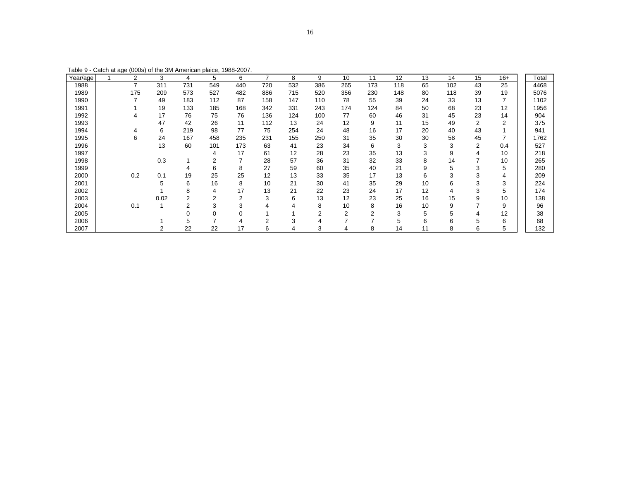|  |  | Table 9 - Catch at age (000s) of the 3M American plaice, 1988-2007. |  |
|--|--|---------------------------------------------------------------------|--|
|--|--|---------------------------------------------------------------------|--|

| Year/age | $\overline{2}$ | 3    | 4   | 5      | 6   |     | 8   | 9   | 10  | 11  | 12  | 13 | 14  | 15 | $16+$ | Total |
|----------|----------------|------|-----|--------|-----|-----|-----|-----|-----|-----|-----|----|-----|----|-------|-------|
| 1988     | ⇁              | 311  | 731 | 549    | 440 | 720 | 532 | 386 | 265 | 173 | 118 | 65 | 102 | 43 | 25    | 4468  |
| 1989     | 175            | 209  | 573 | 527    | 482 | 886 | 715 | 520 | 356 | 230 | 148 | 80 | 118 | 39 | 19    | 5076  |
| 1990     |                | 49   | 183 | 112    | 87  | 158 | 147 | 110 | 78  | 55  | 39  | 24 | 33  | 13 |       | 1102  |
| 1991     |                | 19   | 133 | 185    | 168 | 342 | 331 | 243 | 174 | 124 | 84  | 50 | 68  | 23 | 12    | 1956  |
| 1992     |                | 17   | 76  | 75     | 76  | 136 | 124 | 100 | 77  | 60  | 46  | 31 | 45  | 23 | 14    | 904   |
| 1993     |                | 47   | 42  | 26     | 11  | 112 | 13  | 24  | 12  | 9   | 11  | 15 | 49  | 2  | 2     | 375   |
| 1994     |                | 6    | 219 | 98     | 77  | 75  | 254 | 24  | 48  | 16  | 17  | 20 | 40  | 43 |       | 941   |
| 1995     | 6              | 24   | 167 | 458    | 235 | 231 | 155 | 250 | 31  | 35  | 30  | 30 | 58  | 45 |       | 1762  |
| 1996     |                | 13   | 60  | 101    | 173 | 63  | 41  | 23  | 34  | 6   | 3   | 3  | 3   | 2  | 0.4   | 527   |
| 1997     |                |      |     |        | 17  | 61  | 12  | 28  | 23  | 35  | 13  | 3  | 9   |    | 10    | 218   |
| 1998     |                | 0.3  |     |        |     | 28  | 57  | 36  | 31  | 32  | 33  | 8  | 14  |    | 10    | 265   |
| 1999     |                |      | 4   | 6      | 8   | 27  | 59  | 60  | 35  | 40  | 21  | 9  | 5   |    | 5     | 280   |
| 2000     | 0.2            | 0.1  | 19  | 25     | 25  | 12  | 13  | 33  | 35  | 17  | 13  | 6  | 3   |    | 4     | 209   |
| 2001     |                | 5    | 6   | 16     | 8   | 10  | 21  | 30  | 41  | 35  | 29  | 10 | 6   |    | 3     | 224   |
| 2002     |                |      | 8   |        | 17  | 13  | 21  | 22  | 23  | 24  | 17  | 12 |     |    | 5     | 174   |
| 2003     |                | 0.02 | ົ   | $\sim$ | 2   | 3   | 6   | 13  | 12  | 23  | 25  | 16 | 15  | 9  | 10    | 138   |
| 2004     | 0.1            |      | 2   | 3      | 3   |     |     | 8   | 10  | 8   | 16  | 10 | 9   |    | 9     | 96    |
| 2005     |                |      |     |        |     |     |     | ົ   | ◠   | 2   | 3   | 5  | 5   |    | 12    | 38    |
| 2006     |                |      |     |        |     | ⌒   | 3   |     |     |     | 5   | 6  | 6   |    | 6     | 68    |
| 2007     |                |      | 22  | 22     | 17  | 6   |     | 3   |     | 8   | 14  | 11 | 8   | 6  | 5     | 132   |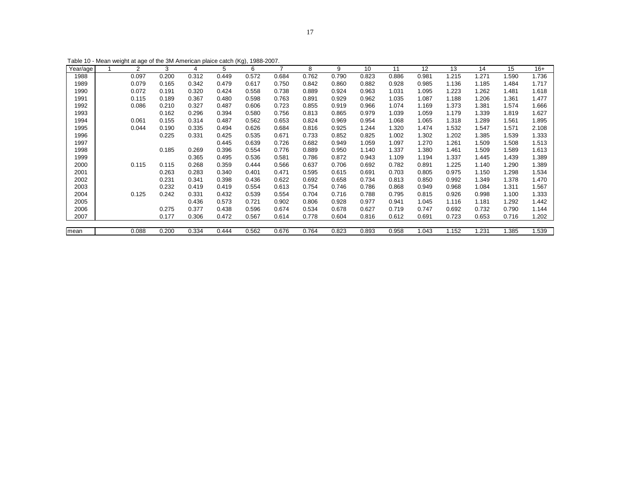| Year/age | $\overline{2}$ | 3     | 4     | 5     | 6     | ⇁     | 8     | 9     | 10    | 11    | 12    | 13    | 14    | 15    | $16+$ |
|----------|----------------|-------|-------|-------|-------|-------|-------|-------|-------|-------|-------|-------|-------|-------|-------|
| 1988     | 0.097          | 0.200 | 0.312 | 0.449 | 0.572 | 0.684 | 0.762 | 0.790 | 0.823 | 0.886 | 0.981 | 1.215 | .271  | 1.590 | 1.736 |
| 1989     | 0.079          | 0.165 | 0.342 | 0.479 | 0.617 | 0.750 | 0.842 | 0.860 | 0.882 | 0.928 | 0.985 | 1.136 | 1.185 | 1.484 | 1.717 |
| 1990     | 0.072          | 0.191 | 0.320 | 0.424 | 0.558 | 0.738 | 0.889 | 0.924 | 0.963 | 1.031 | 1.095 | 1.223 | 1.262 | 1.481 | 1.618 |
| 1991     | 0.115          | 0.189 | 0.367 | 0.480 | 0.598 | 0.763 | 0.891 | 0.929 | 0.962 | 1.035 | 1.087 | 1.188 | 1.206 | 1.361 | 1.477 |
| 1992     | 0.086          | 0.210 | 0.327 | 0.487 | 0.606 | 0.723 | 0.855 | 0.919 | 0.966 | 1.074 | 1.169 | 1.373 | 1.381 | 1.574 | 1.666 |
| 1993     |                | 0.162 | 0.296 | 0.394 | 0.580 | 0.756 | 0.813 | 0.865 | 0.979 | 1.039 | 1.059 | 1.179 | 1.339 | 1.819 | 1.627 |
| 1994     | 0.061          | 0.155 | 0.314 | 0.487 | 0.562 | 0.653 | 0.824 | 0.969 | 0.954 | 1.068 | 1.065 | 1.318 | 1.289 | 1.561 | 1.895 |
| 1995     | 0.044          | 0.190 | 0.335 | 0.494 | 0.626 | 0.684 | 0.816 | 0.925 | 1.244 | 1.320 | 1.474 | 1.532 | 1.547 | 1.571 | 2.108 |
| 1996     |                | 0.225 | 0.331 | 0.425 | 0.535 | 0.671 | 0.733 | 0.852 | 0.825 | 1.002 | 1.302 | 1.202 | 1.385 | 1.539 | 1.333 |
| 1997     |                |       |       | 0.445 | 0.639 | 0.726 | 0.682 | 0.949 | 1.059 | 1.097 | 1.270 | 1.261 | 1.509 | 1.508 | 1.513 |
| 1998     |                | 0.185 | 0.269 | 0.396 | 0.554 | 0.776 | 0.889 | 0.950 | 1.140 | 1.337 | 1.380 | 1.461 | 1.509 | 1.589 | 1.613 |
| 1999     |                |       | 0.365 | 0.495 | 0.536 | 0.581 | 0.786 | 0.872 | 0.943 | 1.109 | 1.194 | 1.337 | 1.445 | 1.439 | 1.389 |
| 2000     | 0.115          | 0.115 | 0.268 | 0.359 | 0.444 | 0.566 | 0.637 | 0.706 | 0.692 | 0.782 | 0.891 | 1.225 | 1.140 | 1.290 | 1.389 |
| 2001     |                | 0.263 | 0.283 | 0.340 | 0.401 | 0.471 | 0.595 | 0.615 | 0.691 | 0.703 | 0.805 | 0.975 | 1.150 | 1.298 | 1.534 |
| 2002     |                | 0.231 | 0.341 | 0.398 | 0.436 | 0.622 | 0.692 | 0.658 | 0.734 | 0.813 | 0.850 | 0.992 | 1.349 | 1.378 | 1.470 |
| 2003     |                | 0.232 | 0.419 | 0.419 | 0.554 | 0.613 | 0.754 | 0.746 | 0.786 | 0.868 | 0.949 | 0.968 | 1.084 | 1.311 | 1.567 |
| 2004     | 0.125          | 0.242 | 0.331 | 0.432 | 0.539 | 0.554 | 0.704 | 0.716 | 0.788 | 0.795 | 0.815 | 0.926 | 0.998 | 1.100 | 1.333 |
| 2005     |                |       | 0.436 | 0.573 | 0.721 | 0.902 | 0.806 | 0.928 | 0.977 | 0.941 | 1.045 | 1.116 | 1.181 | 1.292 | 1.442 |
| 2006     |                | 0.275 | 0.377 | 0.438 | 0.596 | 0.674 | 0.534 | 0.678 | 0.627 | 0.719 | 0.747 | 0.692 | 0.732 | 0.790 | 1.144 |
| 2007     |                | 0.177 | 0.306 | 0.472 | 0.567 | 0.614 | 0.778 | 0.604 | 0.816 | 0.612 | 0.691 | 0.723 | 0.653 | 0.716 | 1.202 |
|          |                |       |       |       |       |       |       |       |       |       |       |       |       |       |       |
| mean     | 0.088          | 0.200 | 0.334 | 0.444 | 0.562 | 0.676 | 0.764 | 0.823 | 0.893 | 0.958 | 1.043 | 1.152 | .231  | .385  | 1.539 |

Table 10 - Mean weight at age of the 3M American plaice catch (Kg), 1988-2007.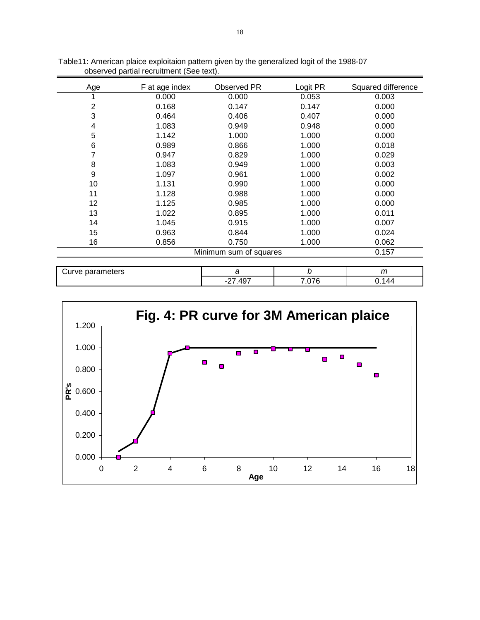| Age | F at age index | Observed PR            | Logit PR | Squared difference |
|-----|----------------|------------------------|----------|--------------------|
|     | 0.000          | 0.000                  | 0.053    | 0.003              |
| 2   | 0.168          | 0.147                  | 0.147    | 0.000              |
| 3   | 0.464          | 0.406                  | 0.407    | 0.000              |
| 4   | 1.083          | 0.949                  | 0.948    | 0.000              |
| 5   | 1.142          | 1.000                  | 1.000    | 0.000              |
| 6   | 0.989          | 0.866                  | 1.000    | 0.018              |
| 7   | 0.947          | 0.829                  | 1.000    | 0.029              |
| 8   | 1.083          | 0.949                  | 1.000    | 0.003              |
| 9   | 1.097          | 0.961                  | 1.000    | 0.002              |
| 10  | 1.131          | 0.990                  | 1.000    | 0.000              |
| 11  | 1.128          | 0.988                  | 1.000    | 0.000              |
| 12  | 1.125          | 0.985                  | 1.000    | 0.000              |
| 13  | 1.022          | 0.895                  | 1.000    | 0.011              |
| 14  | 1.045          | 0.915                  | 1.000    | 0.007              |
| 15  | 0.963          | 0.844                  | 1.000    | 0.024              |
| 16  | 0.856          | 0.750                  | 1.000    | 0.062              |
|     |                | Minimum sum of squares |          | 0.157              |
|     |                |                        |          |                    |

18

Table11: American plaice exploitaion pattern given by the generalized logit of the 1988-07 observed partial recruitment (See text).

| .<br>ــ<br>ve<br><br>____<br>. |                          | $-1$   | $\sim$<br>,,, |
|--------------------------------|--------------------------|--------|---------------|
|                                | $10^{-7}$<br>$\sim$<br>- | $\sim$ |               |

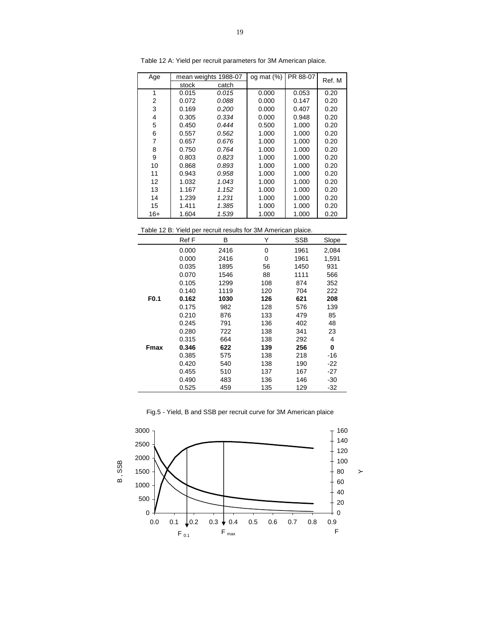| Age   |       | mean weights 1988-07 | og mat $(%)$ | PR 88-07 | Ref. M |
|-------|-------|----------------------|--------------|----------|--------|
|       | stock | catch                |              |          |        |
| 1     | 0.015 | 0.015                | 0.000        | 0.053    | 0.20   |
| 2     | 0.072 | 0.088                | 0.000        | 0.147    | 0.20   |
| 3     | 0.169 | 0.200                | 0.000        | 0.407    | 0.20   |
| 4     | 0.305 | 0.334                | 0.000        | 0.948    | 0.20   |
| 5     | 0.450 | 0.444                | 0.500        | 1.000    | 0.20   |
| 6     | 0.557 | 0.562                | 1.000        | 1.000    | 0.20   |
| 7     | 0.657 | 0.676                | 1.000        | 1.000    | 0.20   |
| 8     | 0.750 | 0.764                | 1.000        | 1.000    | 0.20   |
| 9     | 0.803 | 0.823                | 1.000        | 1.000    | 0.20   |
| 10    | 0.868 | 0.893                | 1.000        | 1.000    | 0.20   |
| 11    | 0.943 | 0.958                | 1.000        | 1.000    | 0.20   |
| 12    | 1.032 | 1.043                | 1.000        | 1.000    | 0.20   |
| 13    | 1.167 | 1.152                | 1.000        | 1.000    | 0.20   |
| 14    | 1.239 | 1.231                | 1.000        | 1.000    | 0.20   |
| 15    | 1.411 | 1.385                | 1.000        | 1.000    | 0.20   |
| $16+$ | 1.604 | 1.539                | 1.000        | 1.000    | 0.20   |

Table 12 A: Yield per recruit parameters for 3M American plaice.

Table 12 B: Yield per recruit results for 3M American plaice.

|                  | Ref F | В    | Y   | SSB  | Slope |
|------------------|-------|------|-----|------|-------|
|                  | 0.000 | 2416 | 0   | 1961 | 2,084 |
|                  | 0.000 | 2416 | 0   | 1961 | 1,591 |
|                  | 0.035 | 1895 | 56  | 1450 | 931   |
|                  | 0.070 | 1546 | 88  | 1111 | 566   |
|                  | 0.105 | 1299 | 108 | 874  | 352   |
|                  | 0.140 | 1119 | 120 | 704  | 222   |
| F <sub>0.1</sub> | 0.162 | 1030 | 126 | 621  | 208   |
|                  | 0.175 | 982  | 128 | 576  | 139   |
|                  | 0.210 | 876  | 133 | 479  | 85    |
|                  | 0.245 | 791  | 136 | 402  | 48    |
|                  | 0.280 | 722  | 138 | 341  | 23    |
|                  | 0.315 | 664  | 138 | 292  | 4     |
| <b>Fmax</b>      | 0.346 | 622  | 139 | 256  | 0     |
|                  | 0.385 | 575  | 138 | 218  | -16   |
|                  | 0.420 | 540  | 138 | 190  | -22   |
|                  | 0.455 | 510  | 137 | 167  | -27   |
|                  | 0.490 | 483  | 136 | 146  | $-30$ |
|                  | 0.525 | 459  | 135 | 129  | $-32$ |

Fig.5 - Yield, B and SSB per recruit curve for 3M American plaice

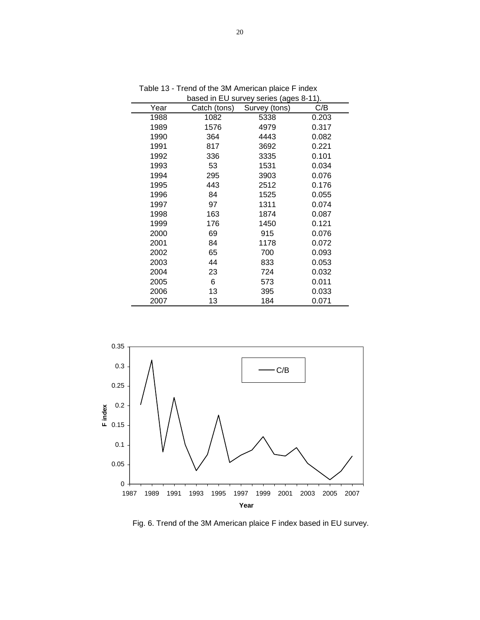|      |              | based in EU survey series (ages 8-11). |       |
|------|--------------|----------------------------------------|-------|
| Year | Catch (tons) | Survey (tons)                          | C/B   |
| 1988 | 1082         | 5338                                   | 0.203 |
| 1989 | 1576         | 4979                                   | 0.317 |
| 1990 | 364          | 4443                                   | 0.082 |
| 1991 | 817          | 3692                                   | 0.221 |
| 1992 | 336          | 3335                                   | 0.101 |
| 1993 | 53           | 1531                                   | 0.034 |
| 1994 | 295          | 3903                                   | 0.076 |
| 1995 | 443          | 2512                                   | 0.176 |
| 1996 | 84           | 1525                                   | 0.055 |
| 1997 | 97           | 1311                                   | 0.074 |
| 1998 | 163          | 1874                                   | 0.087 |
| 1999 | 176          | 1450                                   | 0.121 |
| 2000 | 69           | 915                                    | 0.076 |
| 2001 | 84           | 1178                                   | 0.072 |
| 2002 | 65           | 700                                    | 0.093 |
| 2003 | 44           | 833                                    | 0.053 |
| 2004 | 23           | 724                                    | 0.032 |
| 2005 | 6            | 573                                    | 0.011 |
| 2006 | 13           | 395                                    | 0.033 |
| 2007 | 13           | 184                                    | 0.071 |

Table 13 - Trend of the 3M American plaice F index



Fig. 6. Trend of the 3M American plaice F index based in EU survey.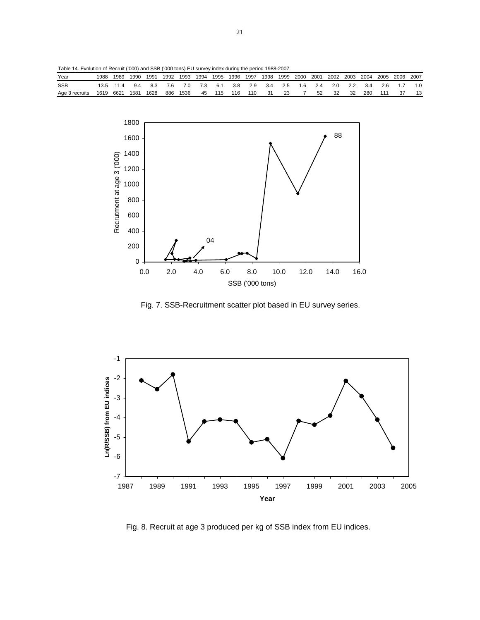Table 14. Evolution of Recruit ('000) and SSB ('000 tons) EU survey index during the period 1988-2007.

| Year           | 1988 | 1989 | 1990 | 1991 | 1992 | 1993 | 1994 | 1995 | 1996 | 1997 | 1998 | 1999 | 2000 | 2001 | 2002 | 2003 | 2004 | 2005 | 2006 | 2007        |
|----------------|------|------|------|------|------|------|------|------|------|------|------|------|------|------|------|------|------|------|------|-------------|
| <b>SSB</b>     |      |      | 9.4  | 8.3  | 7.6  | 7.0  | 7.3  | 6.1  | 3.8  | 2.9  | 3.4  | 2.5  | 1.6  | 2.4  | 2.0  | 2.2  | 3.4  | 2.6  |      | 1. $\Omega$ |
| Age 3 recruits | 1619 | 6621 | 1581 | 1628 | 886  | 1536 | 45   | 115  | 116  | 110  | 31   | 23   |      | 52   | 32   | 32   | 280  |      | 37   |             |



Fig. 7. SSB-Recruitment scatter plot based in EU survey series.



Fig. 8. Recruit at age 3 produced per kg of SSB index from EU indices.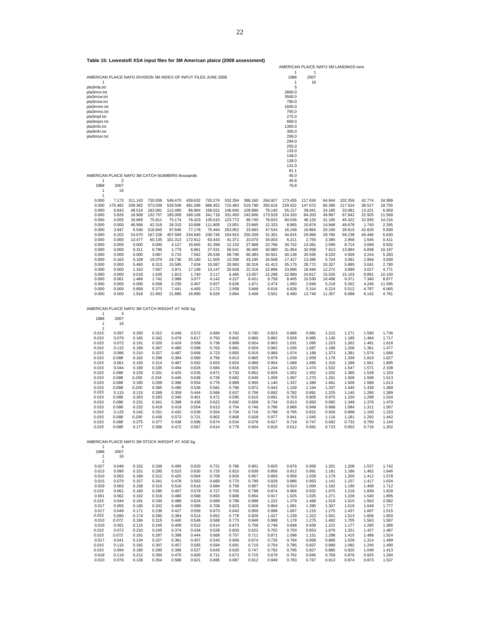| Table 15. LOWESTOR ASH INPUTTIES TOF 3M AMERICAN Plance (2006 assessment)                                                                                                                                                  |                                                                                                                                                                                    |                                                                                                                                                                                            |                                                                                                                                                                                                   |                                                                                                                                                                                                    |                                                                                                                                                                                                    |                                                                                                                                                                                                        |                                                                                                                                                                                                        |                                                                                                                                                                                                       |                                                                                                                                                                                                     |                                                                                                                                                                                                   | AMERICAN PLAICE NAFO 3M LANDINGS tons                                                                                                                                                               |                                                                                                                                                                                               |                                                                                                                                                                                              |                                                                                                                                                                                         |                                                                                                                                                                                         |
|----------------------------------------------------------------------------------------------------------------------------------------------------------------------------------------------------------------------------|------------------------------------------------------------------------------------------------------------------------------------------------------------------------------------|--------------------------------------------------------------------------------------------------------------------------------------------------------------------------------------------|---------------------------------------------------------------------------------------------------------------------------------------------------------------------------------------------------|----------------------------------------------------------------------------------------------------------------------------------------------------------------------------------------------------|----------------------------------------------------------------------------------------------------------------------------------------------------------------------------------------------------|--------------------------------------------------------------------------------------------------------------------------------------------------------------------------------------------------------|--------------------------------------------------------------------------------------------------------------------------------------------------------------------------------------------------------|-------------------------------------------------------------------------------------------------------------------------------------------------------------------------------------------------------|-----------------------------------------------------------------------------------------------------------------------------------------------------------------------------------------------------|---------------------------------------------------------------------------------------------------------------------------------------------------------------------------------------------------|-----------------------------------------------------------------------------------------------------------------------------------------------------------------------------------------------------|-----------------------------------------------------------------------------------------------------------------------------------------------------------------------------------------------|----------------------------------------------------------------------------------------------------------------------------------------------------------------------------------------------|-----------------------------------------------------------------------------------------------------------------------------------------------------------------------------------------|-----------------------------------------------------------------------------------------------------------------------------------------------------------------------------------------|
| AMERICAN PLAICE NAFO DIVISION 3M INDEX OF INPUT FILES JUNE 2008                                                                                                                                                            |                                                                                                                                                                                    |                                                                                                                                                                                            |                                                                                                                                                                                                   |                                                                                                                                                                                                    |                                                                                                                                                                                                    |                                                                                                                                                                                                        |                                                                                                                                                                                                        |                                                                                                                                                                                                       |                                                                                                                                                                                                     | 1<br>1988                                                                                                                                                                                         | 1<br>2007                                                                                                                                                                                           |                                                                                                                                                                                               |                                                                                                                                                                                              |                                                                                                                                                                                         |                                                                                                                                                                                         |
| 1<br>pla3mla.txt<br>pla3mcn.txt<br>pla3mcw.txt<br>pla3msw.txt<br>pla3mnm.txt<br>pla3mmo.txt<br>pla3mpf.txt<br>pla3mpm.txt<br>pla3mfo.txt<br>pla3mfn.txt<br>pla3mtun.txt<br>AMERICAN PLAICE NAFO 3M CATCH NUMBERS thousands |                                                                                                                                                                                    |                                                                                                                                                                                            |                                                                                                                                                                                                   |                                                                                                                                                                                                    |                                                                                                                                                                                                    |                                                                                                                                                                                                        |                                                                                                                                                                                                        |                                                                                                                                                                                                       |                                                                                                                                                                                                     | 1<br>5<br>2800.0<br>3500.0<br>790.0<br>1600.0<br>765.0<br>275.0<br>669.0<br>1300.0<br>300.0<br>208.0<br>294.0<br>255.0<br>133.0<br>149.0<br>128.0<br>131.0<br>81.1<br>45.0                        | 16                                                                                                                                                                                                  |                                                                                                                                                                                               |                                                                                                                                                                                              |                                                                                                                                                                                         |                                                                                                                                                                                         |
| 1<br>1988                                                                                                                                                                                                                  | $\overline{2}$<br>2007                                                                                                                                                             |                                                                                                                                                                                            |                                                                                                                                                                                                   |                                                                                                                                                                                                    |                                                                                                                                                                                                    |                                                                                                                                                                                                        |                                                                                                                                                                                                        |                                                                                                                                                                                                       |                                                                                                                                                                                                     | 45.8<br>76.8                                                                                                                                                                                      |                                                                                                                                                                                                     |                                                                                                                                                                                               |                                                                                                                                                                                              |                                                                                                                                                                                         |                                                                                                                                                                                         |
| 1                                                                                                                                                                                                                          | 16                                                                                                                                                                                 |                                                                                                                                                                                            |                                                                                                                                                                                                   |                                                                                                                                                                                                    |                                                                                                                                                                                                    |                                                                                                                                                                                                        |                                                                                                                                                                                                        |                                                                                                                                                                                                       |                                                                                                                                                                                                     |                                                                                                                                                                                                   |                                                                                                                                                                                                     |                                                                                                                                                                                               |                                                                                                                                                                                              |                                                                                                                                                                                         |                                                                                                                                                                                         |
| 1<br>0.000<br>0.000<br>0.000<br>0.000<br>0.000<br>0.000<br>0.000<br>0.000<br>0.000<br>0.000<br>0.000<br>0.000<br>0.000<br>0.000<br>0.000<br>0.000<br>0.000<br>0.000<br>0.000<br>0.000                                      | 7.173<br>175.482<br>6.843<br>0.826<br>4.055<br>0.000<br>3.947<br>6.202<br>0.000<br>0.000<br>0.000<br>0.000<br>0.163<br>0.000<br>0.000<br>0.000<br>0.061<br>0.000<br>0.000<br>0.000 | 311.143<br>209.362<br>48.514<br>18.908<br>16.669<br>46.566<br>5.540<br>24.070<br>13.477<br>0.000<br>0.311<br>0.000<br>0.109<br>5.460<br>1.310<br>0.018<br>1.466<br>0.000<br>0.859<br>1.918 | 730.939<br>573.039<br>183.081<br>132.757<br>75.811<br>42.316<br>218.845<br>167.228<br>60.135<br>0.000<br>0.795<br>3.687<br>19.370<br>6.313<br>7.507<br>1.635<br>1.742<br>0.058<br>5.373<br>21.693 | 549.470<br>526.509<br>112.480<br>185.009<br>75.174<br>26.310<br>97.846<br>457.569<br>101.313<br>4.127<br>1.779<br>5.715<br>24.736<br>15.595<br>3.971<br>1.813<br>2.988<br>0.235<br>7.441<br>21.885 | 439.632<br>481.596<br>86.964<br>168.106<br>76.423<br>10.898<br>77.178<br>234.940<br>172.912<br>16.665<br>6.961<br>7.562<br>25.180<br>7.634<br>17.199<br>1.740<br>3.077<br>0.407<br>4.493<br>16.890 | 720.274<br>886.452<br>158.021<br>341.718<br>135.610<br>111.805<br>75.464<br>230.745<br>63.443<br>61.358<br>27.531<br>26.536<br>11.505<br>10.087<br>13.147<br>3.117<br>4.142<br>0.927<br>2.172<br>6.026 | 532.354<br>715.483<br>146.640<br>331.450<br>123.772<br>13.051<br>253.952<br>154.915<br>41.371<br>12.153<br>56.541<br>58.790<br>13.399<br>20.963<br>20.828<br>6.465<br>4.227<br>0.626<br>2.958<br>3.864 | 386.160<br>519.799<br>109.896<br>242.806<br>99.740<br>23.865<br>23.683<br>250.209<br>23.070<br>27.868<br>36.400<br>60.383<br>33.195<br>30.316<br>22.316<br>13.057<br>8.421<br>1.871<br>3.848<br>3.409 | 264.927<br>355.616<br>78.140<br>173.529<br>76.833<br>12.333<br>47.534<br>31.301<br>34.003<br>22.766<br>30.980<br>34.501<br>34.508<br>41.413<br>22.896<br>12.298<br>9.758<br>2.474<br>6.616<br>3.501 | 173.455<br>229.522<br>55.217<br>124.320<br>60.036<br>8.865<br>16.248<br>34.815<br>6.211<br>34.742<br>31.954<br>40.136<br>17.427<br>35.175<br>23.896<br>22.889<br>8.405<br>1.950<br>6.628<br>8.490 | 117.634<br>147.672<br>39.041<br>84.203<br>46.126<br>10.874<br>16.864<br>29.966<br>2.755<br>13.361<br>32.958<br>20.555<br>13.385<br>28.772<br>16.694<br>24.817<br>15.530<br>2.846<br>5.314<br>13.740 | 64.944<br>80.390<br>24.185<br>49.967<br>31.165<br>14.948<br>20.150<br>29.784<br>3.395<br>2.599<br>7.613<br>9.220<br>5.704<br>10.327<br>12.272<br>15.526<br>10.408<br>5.218<br>6.224<br>11.357 | 102.356<br>117.524<br>33.081<br>67.842<br>45.422<br>48.678<br>39.615<br>58.238<br>2.958<br>8.714<br>13.894<br>4.569<br>3.081<br>5.885<br>3.689<br>15.103<br>9.371<br>5.262<br>5.512<br>8.088 | 42.774<br>38.517<br>13.221<br>22.925<br>22.935<br>1.740<br>42.826<br>45.446<br>1.545<br>3.699<br>6.838<br>3.244<br>2.956<br>3.041<br>3.027<br>8.891<br>7.340<br>4.246<br>4.797<br>6.142 | 24.999<br>18.755<br>6.859<br>11.569<br>14.216<br>2.265<br>0.830<br>6.630<br>0.411<br>9.932<br>10.197<br>5.283<br>3.939<br>2.790<br>4.771<br>10.150<br>8.877<br>11.595<br>6.065<br>4.761 |
| AMERICAN PLAICE NAFO 3M CATCH WEIGHT AT AGE kg<br>1                                                                                                                                                                        | 3                                                                                                                                                                                  |                                                                                                                                                                                            |                                                                                                                                                                                                   |                                                                                                                                                                                                    |                                                                                                                                                                                                    |                                                                                                                                                                                                        |                                                                                                                                                                                                        |                                                                                                                                                                                                       |                                                                                                                                                                                                     |                                                                                                                                                                                                   |                                                                                                                                                                                                     |                                                                                                                                                                                               |                                                                                                                                                                                              |                                                                                                                                                                                         |                                                                                                                                                                                         |
| 1988<br>1                                                                                                                                                                                                                  | 2007<br>16                                                                                                                                                                         |                                                                                                                                                                                            |                                                                                                                                                                                                   |                                                                                                                                                                                                    |                                                                                                                                                                                                    |                                                                                                                                                                                                        |                                                                                                                                                                                                        |                                                                                                                                                                                                       |                                                                                                                                                                                                     |                                                                                                                                                                                                   |                                                                                                                                                                                                     |                                                                                                                                                                                               |                                                                                                                                                                                              |                                                                                                                                                                                         |                                                                                                                                                                                         |
| 1<br>0.015                                                                                                                                                                                                                 | 0.097                                                                                                                                                                              | 0.200                                                                                                                                                                                      | 0.312                                                                                                                                                                                             | 0.449                                                                                                                                                                                              | 0.572                                                                                                                                                                                              | 0.684                                                                                                                                                                                                  | 0.762                                                                                                                                                                                                  | 0.790                                                                                                                                                                                                 | 0.823                                                                                                                                                                                               | 0.886                                                                                                                                                                                             | 0.981                                                                                                                                                                                               | 1.215                                                                                                                                                                                         | 1.271                                                                                                                                                                                        | 1.590                                                                                                                                                                                   | 1.736                                                                                                                                                                                   |
| 0.015<br>0.015                                                                                                                                                                                                             | 0.079<br>0.072                                                                                                                                                                     | 0.165<br>0.191                                                                                                                                                                             | 0.342<br>0.320                                                                                                                                                                                    | 0.479<br>0.424                                                                                                                                                                                     | 0.617<br>0.558                                                                                                                                                                                     | 0.750<br>0.738                                                                                                                                                                                         | 0.842<br>0.889                                                                                                                                                                                         | 0.860<br>0.924                                                                                                                                                                                        | 0.882<br>0.963                                                                                                                                                                                      | 0.928<br>1.031                                                                                                                                                                                    | 0.985<br>1.095                                                                                                                                                                                      | 1.136<br>1.223                                                                                                                                                                                | 1.185<br>1.262                                                                                                                                                                               | 1.484<br>1.481                                                                                                                                                                          | 1.717<br>1.618                                                                                                                                                                          |
| 0.015                                                                                                                                                                                                                      | 0.115                                                                                                                                                                              | 0.189                                                                                                                                                                                      | 0.367                                                                                                                                                                                             | 0.480                                                                                                                                                                                              | 0.598                                                                                                                                                                                              | 0.763                                                                                                                                                                                                  | 0.891                                                                                                                                                                                                  | 0.929                                                                                                                                                                                                 | 0.962                                                                                                                                                                                               | 1.035                                                                                                                                                                                             | 1.087                                                                                                                                                                                               | 1.188                                                                                                                                                                                         | 1.206                                                                                                                                                                                        | 1.361                                                                                                                                                                                   | 1.477                                                                                                                                                                                   |
| 0.015<br>0.015                                                                                                                                                                                                             | 0.086<br>0.088                                                                                                                                                                     | 0.210<br>0.162                                                                                                                                                                             | 0.327<br>0.296                                                                                                                                                                                    | 0.487<br>0.394                                                                                                                                                                                     | 0.606<br>0.580                                                                                                                                                                                     | 0.723<br>0.756                                                                                                                                                                                         | 0.855<br>0.813                                                                                                                                                                                         | 0.919<br>0.865                                                                                                                                                                                        | 0.966<br>0.979                                                                                                                                                                                      | 1.074<br>1.039                                                                                                                                                                                    | 1.169<br>1.059                                                                                                                                                                                      | 1.373<br>1.179                                                                                                                                                                                | 1.381<br>1.339                                                                                                                                                                               | 1.574<br>1.819                                                                                                                                                                          | 1.666<br>1.627                                                                                                                                                                          |
| 0.015<br>0.015                                                                                                                                                                                                             | 0.061<br>0.044                                                                                                                                                                     | 0.155<br>0.190                                                                                                                                                                             | 0.314<br>0.335                                                                                                                                                                                    | 0.487<br>0.494                                                                                                                                                                                     | 0.562<br>0.626                                                                                                                                                                                     | 0.653<br>0.684                                                                                                                                                                                         | 0.824<br>0.816                                                                                                                                                                                         | 0.969<br>0.925                                                                                                                                                                                        | 0.954<br>1.244                                                                                                                                                                                      | 1.068<br>1.320                                                                                                                                                                                    | 1.065<br>1.474                                                                                                                                                                                      | 1.318<br>1.532                                                                                                                                                                                | 1.289<br>1.547                                                                                                                                                                               | 1.561<br>1.571                                                                                                                                                                          | 1.895<br>2.108                                                                                                                                                                          |
| 0.015                                                                                                                                                                                                                      | 0.088                                                                                                                                                                              | 0.225                                                                                                                                                                                      | 0.331                                                                                                                                                                                             | 0.425                                                                                                                                                                                              | 0.535                                                                                                                                                                                              | 0.671                                                                                                                                                                                                  | 0.733                                                                                                                                                                                                  | 0.852                                                                                                                                                                                                 | 0.825                                                                                                                                                                                               | 1.002                                                                                                                                                                                             | 1.302                                                                                                                                                                                               | 1.202                                                                                                                                                                                         | 1.385                                                                                                                                                                                        | 1.539                                                                                                                                                                                   | 1.333                                                                                                                                                                                   |
| 0.015<br>0.015                                                                                                                                                                                                             | 0.088<br>0.088                                                                                                                                                                     | 0.200<br>0.185                                                                                                                                                                             | 0.334<br>0.269                                                                                                                                                                                    | 0.445<br>0.396                                                                                                                                                                                     | 0.639<br>0.554                                                                                                                                                                                     | 0.726<br>0.776                                                                                                                                                                                         | 0.682<br>0.889                                                                                                                                                                                         | 0.949<br>0.950                                                                                                                                                                                        | 1.059<br>1.140                                                                                                                                                                                      | 1.097<br>1.337                                                                                                                                                                                    | 1.270<br>1.380                                                                                                                                                                                      | 1.261<br>1.461                                                                                                                                                                                | 1.509<br>1.509                                                                                                                                                                               | 1.508<br>1.589                                                                                                                                                                          | 1.513<br>1.613                                                                                                                                                                          |
| 0.015                                                                                                                                                                                                                      | 0.088                                                                                                                                                                              | 0.200                                                                                                                                                                                      | 0.365                                                                                                                                                                                             | 0.495                                                                                                                                                                                              | 0.536                                                                                                                                                                                              | 0.581                                                                                                                                                                                                  | 0.786                                                                                                                                                                                                  | 0.872                                                                                                                                                                                                 | 0.943                                                                                                                                                                                               | 1.109                                                                                                                                                                                             | 1.194                                                                                                                                                                                               | 1.337                                                                                                                                                                                         | 1.445                                                                                                                                                                                        | 1.439                                                                                                                                                                                   | 1.389                                                                                                                                                                                   |
| 0.015<br>0.015                                                                                                                                                                                                             | 0.115<br>0.088                                                                                                                                                                     | 0.115<br>0.263                                                                                                                                                                             | 0.268<br>0.283                                                                                                                                                                                    | 0.359<br>0.340                                                                                                                                                                                     | 0.444<br>0.401                                                                                                                                                                                     | 0.566<br>0.471                                                                                                                                                                                         | 0.637<br>0.595                                                                                                                                                                                         | 0.706<br>0.615                                                                                                                                                                                        | 0.692<br>0.691                                                                                                                                                                                      | 0.782<br>0.703                                                                                                                                                                                    | 0.891<br>0.805                                                                                                                                                                                      | 1.225<br>0.975                                                                                                                                                                                | 1.140<br>1.150                                                                                                                                                                               | 1.290<br>1.298                                                                                                                                                                          | 1.389<br>1.534                                                                                                                                                                          |
| 0.015                                                                                                                                                                                                                      | 0.088                                                                                                                                                                              | 0.231                                                                                                                                                                                      | 0.341                                                                                                                                                                                             | 0.398                                                                                                                                                                                              | 0.436                                                                                                                                                                                              | 0.622                                                                                                                                                                                                  | 0.692                                                                                                                                                                                                  | 0.658                                                                                                                                                                                                 | 0.734                                                                                                                                                                                               | 0.813                                                                                                                                                                                             | 0.850                                                                                                                                                                                               | 0.992                                                                                                                                                                                         | 1.349                                                                                                                                                                                        | 1.378                                                                                                                                                                                   | 1.470                                                                                                                                                                                   |
| 0.015<br>0.015                                                                                                                                                                                                             | 0.088<br>0.125                                                                                                                                                                     | 0.232<br>0.242                                                                                                                                                                             | 0.419<br>0.331                                                                                                                                                                                    | 0.419<br>0.432                                                                                                                                                                                     | 0.554<br>0.539                                                                                                                                                                                     | 0.613<br>0.554                                                                                                                                                                                         | 0.754<br>0.704                                                                                                                                                                                         | 0.746<br>0.716                                                                                                                                                                                        | 0.786<br>0.788                                                                                                                                                                                      | 0.868<br>0.795                                                                                                                                                                                    | 0.949<br>0.815                                                                                                                                                                                      | 0.968<br>0.926                                                                                                                                                                                | 1.084<br>0.998                                                                                                                                                                               | 1.311<br>1.100                                                                                                                                                                          | 1.567<br>1.333                                                                                                                                                                          |
| 0.015                                                                                                                                                                                                                      | 0.088                                                                                                                                                                              | 0.200                                                                                                                                                                                      | 0.436                                                                                                                                                                                             | 0.573                                                                                                                                                                                              | 0.721                                                                                                                                                                                              | 0.902                                                                                                                                                                                                  | 0.806                                                                                                                                                                                                  | 0.928                                                                                                                                                                                                 | 0.977                                                                                                                                                                                               | 0.941                                                                                                                                                                                             | 1.045                                                                                                                                                                                               | 1.116                                                                                                                                                                                         | 1.181                                                                                                                                                                                        | 1.292                                                                                                                                                                                   | 1.442                                                                                                                                                                                   |
| 0.015<br>0.015                                                                                                                                                                                                             | 0.088<br>0.088                                                                                                                                                                     | 0.275<br>0.177                                                                                                                                                                             | 0.377<br>0.306                                                                                                                                                                                    | 0.438<br>0.472                                                                                                                                                                                     | 0.596<br>0.567                                                                                                                                                                                     | 0.674<br>0.614                                                                                                                                                                                         | 0.534<br>0.778                                                                                                                                                                                         | 0.678<br>0.604                                                                                                                                                                                        | 0.627<br>0.816                                                                                                                                                                                      | 0.719<br>0.612                                                                                                                                                                                    | 0.747<br>0.691                                                                                                                                                                                      | 0.692<br>0.723                                                                                                                                                                                | 0.732<br>0.653                                                                                                                                                                               | 0.790<br>0.716                                                                                                                                                                          | 1.144<br>1.202                                                                                                                                                                          |
| AMERICAN PLAICE NAFO 3M STOCK WEIGHT AT AGE kg                                                                                                                                                                             |                                                                                                                                                                                    |                                                                                                                                                                                            |                                                                                                                                                                                                   |                                                                                                                                                                                                    |                                                                                                                                                                                                    |                                                                                                                                                                                                        |                                                                                                                                                                                                        |                                                                                                                                                                                                       |                                                                                                                                                                                                     |                                                                                                                                                                                                   |                                                                                                                                                                                                     |                                                                                                                                                                                               |                                                                                                                                                                                              |                                                                                                                                                                                         |                                                                                                                                                                                         |
| 1                                                                                                                                                                                                                          | $\overline{4}$                                                                                                                                                                     |                                                                                                                                                                                            |                                                                                                                                                                                                   |                                                                                                                                                                                                    |                                                                                                                                                                                                    |                                                                                                                                                                                                        |                                                                                                                                                                                                        |                                                                                                                                                                                                       |                                                                                                                                                                                                     |                                                                                                                                                                                                   |                                                                                                                                                                                                     |                                                                                                                                                                                               |                                                                                                                                                                                              |                                                                                                                                                                                         |                                                                                                                                                                                         |
| 1988<br>1<br>1                                                                                                                                                                                                             | 2007<br>16                                                                                                                                                                         |                                                                                                                                                                                            |                                                                                                                                                                                                   |                                                                                                                                                                                                    |                                                                                                                                                                                                    |                                                                                                                                                                                                        |                                                                                                                                                                                                        |                                                                                                                                                                                                       |                                                                                                                                                                                                     |                                                                                                                                                                                                   |                                                                                                                                                                                                     |                                                                                                                                                                                               |                                                                                                                                                                                              |                                                                                                                                                                                         |                                                                                                                                                                                         |
| 0.027                                                                                                                                                                                                                      | 0.048                                                                                                                                                                              | 0.152                                                                                                                                                                                      | 0.338                                                                                                                                                                                             | 0.495                                                                                                                                                                                              | 0.620                                                                                                                                                                                              | 0.721                                                                                                                                                                                                  | 0.786                                                                                                                                                                                                  | 0.801                                                                                                                                                                                                 | 0.820                                                                                                                                                                                               | 0.876                                                                                                                                                                                             | 0.959                                                                                                                                                                                               | 1.201                                                                                                                                                                                         | 1.208                                                                                                                                                                                        | 1.537                                                                                                                                                                                   | 1.742                                                                                                                                                                                   |
| 0.013<br>0.010                                                                                                                                                                                                             | 0.090<br>0.062                                                                                                                                                                     | 0.151<br>0.189                                                                                                                                                                             | 0.295<br>0.312                                                                                                                                                                                    | 0.523<br>0.425                                                                                                                                                                                     | 0.630<br>0.564                                                                                                                                                                                     | 0.725<br>0.709                                                                                                                                                                                         | 0.815<br>0.829                                                                                                                                                                                         | 0.839<br>0.857                                                                                                                                                                                        | 0.856<br>0.893                                                                                                                                                                                      | 0.912<br>0.956                                                                                                                                                                                    | 0.991<br>1.029                                                                                                                                                                                      | 1.181<br>1.179                                                                                                                                                                                | 1.186<br>1.200                                                                                                                                                                               | 1.462<br>1.412                                                                                                                                                                          | 1.646<br>1.578                                                                                                                                                                          |
| 0.015                                                                                                                                                                                                                      | 0.070                                                                                                                                                                              | 0.157                                                                                                                                                                                      | 0.341                                                                                                                                                                                             | 0.478                                                                                                                                                                                              | 0.563                                                                                                                                                                                              | 0.660                                                                                                                                                                                                  | 0.770                                                                                                                                                                                                  | 0.799                                                                                                                                                                                                 | 0.829                                                                                                                                                                                               | 0.886                                                                                                                                                                                             | 0.953                                                                                                                                                                                               | 1.141                                                                                                                                                                                         | 1.157                                                                                                                                                                                        | 1.417                                                                                                                                                                                   | 1.634                                                                                                                                                                                   |
| 0.029<br>0.015                                                                                                                                                                                                             | 0.063<br>0.061                                                                                                                                                                     | 0.158<br>0.160                                                                                                                                                                             | 0.315<br>0.295                                                                                                                                                                                    | 0.516<br>0.407                                                                                                                                                                                     | 0.616<br>0.579                                                                                                                                                                                     | 0.684<br>0.727                                                                                                                                                                                         | 0.758<br>0.755                                                                                                                                                                                         | 0.807<br>0.798                                                                                                                                                                                        | 0.832<br>0.874                                                                                                                                                                                      | 0.910<br>0.906                                                                                                                                                                                    | 1.000<br>0.932                                                                                                                                                                                      | 1.182<br>1.075                                                                                                                                                                                | 1.190<br>1.218                                                                                                                                                                               | 1.408<br>1.839                                                                                                                                                                          | 1.712<br>1.628                                                                                                                                                                          |
| 0.001                                                                                                                                                                                                                      | 0.062                                                                                                                                                                              | 0.162                                                                                                                                                                                      | 0.316                                                                                                                                                                                             | 0.490                                                                                                                                                                                              | 0.568                                                                                                                                                                                              | 0.650                                                                                                                                                                                                  | 0.808                                                                                                                                                                                                  | 0.954                                                                                                                                                                                                 | 0.917                                                                                                                                                                                               | 1.025                                                                                                                                                                                             | 1.025                                                                                                                                                                                               | 1.271                                                                                                                                                                                         | 1.228                                                                                                                                                                                        | 1.540                                                                                                                                                                                   | 1.895                                                                                                                                                                                   |
| 0.015<br>0.017                                                                                                                                                                                                             | 0.044<br>0.055                                                                                                                                                                     | 0.191<br>0.190                                                                                                                                                                             | 0.330<br>0.332                                                                                                                                                                                    | 0.488<br>0.469                                                                                                                                                                                     | 0.624<br>0.589                                                                                                                                                                                     | 0.668<br>0.708                                                                                                                                                                                         | 0.789<br>0.823                                                                                                                                                                                         | 0.888<br>0.929                                                                                                                                                                                        | 1.222<br>0.864                                                                                                                                                                                      | 1.279<br>1.081                                                                                                                                                                                    | 1.468<br>1.390                                                                                                                                                                                      | 1.518<br>1.307                                                                                                                                                                                | 1.515<br>1.519                                                                                                                                                                               | 1.563<br>1.649                                                                                                                                                                          | 2.082<br>1.777                                                                                                                                                                          |
| 0.017                                                                                                                                                                                                                      | 0.049                                                                                                                                                                              | 0.171                                                                                                                                                                                      | 0.236                                                                                                                                                                                             | 0.427                                                                                                                                                                                              | 0.559                                                                                                                                                                                              | 0.673                                                                                                                                                                                                  | 0.643                                                                                                                                                                                                  | 0.859                                                                                                                                                                                                 | 0.998                                                                                                                                                                                               | 1.007                                                                                                                                                                                             | 1.215                                                                                                                                                                                               | 1.275                                                                                                                                                                                         | 1.437                                                                                                                                                                                        | 1.607                                                                                                                                                                                   | 1.515                                                                                                                                                                                   |
| 0.015<br>0.010                                                                                                                                                                                                             | 0.090<br>0.072                                                                                                                                                                     | 0.174<br>0.166                                                                                                                                                                             | 0.260<br>0.315                                                                                                                                                                                    | 0.384<br>0.440                                                                                                                                                                                     | 0.514<br>0.546                                                                                                                                                                                     | 0.652<br>0.568                                                                                                                                                                                         | 0.778<br>0.773                                                                                                                                                                                         | 0.826<br>0.849                                                                                                                                                                                        | 1.027<br>0.998                                                                                                                                                                                      | 1.239<br>1.178                                                                                                                                                                                    | 1.322<br>1.275                                                                                                                                                                                      | 1.501<br>1.462                                                                                                                                                                                | 1.513<br>1.705                                                                                                                                                                               | 1.606<br>1.563                                                                                                                                                                          | 1.650<br>1.587                                                                                                                                                                          |
| 0.016                                                                                                                                                                                                                      | 0.091                                                                                                                                                                              | 0.115                                                                                                                                                                                      | 0.245                                                                                                                                                                                             | 0.409                                                                                                                                                                                              | 0.522                                                                                                                                                                                              | 0.614                                                                                                                                                                                                  | 0.673                                                                                                                                                                                                  | 0.756                                                                                                                                                                                                 | 0.748                                                                                                                                                                                               | 0.848                                                                                                                                                                                             | 0.939                                                                                                                                                                                               | 1.222                                                                                                                                                                                         | 1.177                                                                                                                                                                                        | 1.295                                                                                                                                                                                   | 1.386                                                                                                                                                                                   |
| 0.015<br>0.015                                                                                                                                                                                                             | 0.072<br>0.072                                                                                                                                                                     | 0.210<br>0.191                                                                                                                                                                             | 0.245<br>0.287                                                                                                                                                                                    | 0.374<br>0.398                                                                                                                                                                                     | 0.434<br>0.444                                                                                                                                                                                     | 0.528<br>0.668                                                                                                                                                                                         | 0.603<br>0.757                                                                                                                                                                                         | 0.622<br>0.711                                                                                                                                                                                        | 0.702<br>0.871                                                                                                                                                                                      | 0.703<br>1.098                                                                                                                                                                                    | 0.853<br>1.151                                                                                                                                                                                      | 1.076<br>1.298                                                                                                                                                                                | 1.321<br>1.415                                                                                                                                                                               | 1.427<br>1.486                                                                                                                                                                          | 1.487<br>1.524                                                                                                                                                                          |
| 0.017                                                                                                                                                                                                                      | 0.041                                                                                                                                                                              | 0.134                                                                                                                                                                                      | 0.327                                                                                                                                                                                             | 0.361                                                                                                                                                                                              | 0.457                                                                                                                                                                                              | 0.543                                                                                                                                                                                                  | 0.669                                                                                                                                                                                                  | 0.674                                                                                                                                                                                                 | 0.735                                                                                                                                                                                               | 0.794                                                                                                                                                                                             | 0.858                                                                                                                                                                                               | 0.886                                                                                                                                                                                         | 1.028                                                                                                                                                                                        | 1.314                                                                                                                                                                                   | 1.499                                                                                                                                                                                   |

*0.015* 0.110 0.182 0.307 0.457 0.565 0.594 0.691 0.710 0.754 0.785 0.837 0.999 1.092 1.240 1.490 *0.015* 0.094 0.180 0.295 0.396 0.527 0.643 0.620 0.747 0.792 0.795 0.827 0.885 0.920 1.048 1.413 0.018 0.119 0.212 0.350 0.475 0.600 0.711 0.673 0.715 0.679 0.792 0.845 0.769 0.876 0.925 1.294 0.010 0.079 0.128 0.354 0.588 0.621 0.695 0.987 0.912 0.949 0.783 0.767 0.913 0.874 0.873 1.537

**Table 15: Lowestoft XSA input files for 3M American plaice (2008 assessment)**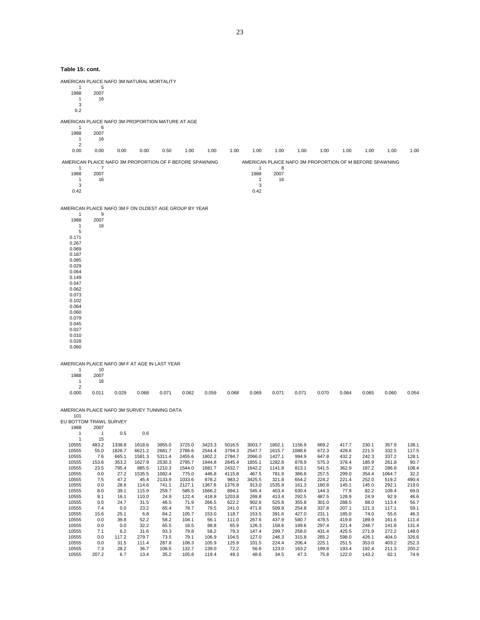**Table 15: cont.** AMERICAN PLAICE NAFO 3M NATURAL MORTALITY 1 5<br>1988 2007 1988 2007 16 3 0.2 AMERICAN PLAICE NAFO 3M PROPORTION MATURE AT AGE  $\begin{matrix} 1 & 6 \\ 1988 & 2007 \end{matrix}$ 2007 1 16  $\begin{array}{c} 2 \\ 0.00 \end{array}$ 0.00 0.00 0.00 0.00 0.50 1.00 1.00 1.00 1.00 1.00 1.00 1.00 1.00 1.00 1.00 1.00 AMERICAN PLAICE NAFO 3M PROPORTION OF F BEFORE SPAWNING AMERICAN PLAICE NAFO 3M PROPORTION OF M BEFORE SPAWNING 1  $7$  1 8 1988 2007 1988 2007 1 16 1 16  $3<sup>3</sup>$ 0.42  $0.42$ AMERICAN PLAICE NAFO 3M F ON OLDEST AGE GROUP BY YEAR 1 9 1988 2007 1 16 5 0.171 0.267 0.069 0.187 0.085 0.029 0.064 0.149 0.047 0.062 0.073 0.102 0.064 0.060 0.079 0.045 0.027 0.010 0.028 0.060 AMERICAN PLAICE NAFO 3M F AT AGE IN LAST YEAR 1 10<br>1988 2007 88 2007<br>16 16  $\begin{array}{c}2\\0.000\end{array}$ 0.000 0.011 0.029 0.068 0.071 0.062 0.059 0.068 0.069 0.071 0.071 0.070 0.064 0.065 0.060 0.054 AMERICAN PLAICE NAFO 3M SURVEY TUNNING DATA 101 EU BOTTOM TRAWL SURVEY<br>1988 2007 88 2007<br>1 1 1 1 0.5 0.6  $1 15$ <br>10555 483.2 10555 483.2 1338.8 1618.6 3955.0 3725.0 3423.3 5016.5 3003.7 1802.1 1156.9 669.2 417.7 230.1 357.9 138.1 10555 55.0 1826.7 6621.2 2681.7 2786.6 2544.4 3794.3 2547.7 1615.7 1088.6 672.3 428.6 221.5 332.5 117.5 10555 7.6 665.1 1581.3 5311.4 2455.6 1802.2 2784.7 2066.0 1427.1 994.9 647.8 432.2 242.3 337.2 128.1 10555 153.6 353.2 1627.9 2530.3 2795.7 1944.8 2645.4 1855.1 1282.8 878.9 575.3 378.4 185.9 261.8 90.7 10555 23.5 795.4 885.5 1210.3 1544.0 1681.7 2432.7 1642.2 1141.8 813.1 541.5 362.9 187.2 286.8 108.4 10555 0.0 27.2 1535.5 1082.4 775.0 446.8 4115.8 467.5 781.9 366.6 257.5 299.0 354.4 1064.7 32.2 10555 7.5 47.2 45.4 2133.9 1033.6 878.2 983.2 3425.5 321.8 654.2 224.2 221.4 252.0 519.2 490.4 10555 0.0 28.6 114.6 741.1 2127.1 1367.6 1376.8 913.0 1535.9 161.3 180.8 145.1 145.0 292.1 219.0 10555 8.0 39.1 115.9 259.7 585.5 1666.2 894.1 545.4 403.4 630.4 144.3 77.9 82.2 109.4 69.0 10555 8.1 16.1 110.0 24.9 122.4 418.8 1203.8 269.8 413.4 292.5 487.5 128.9 24.9 92.9 46.6 10555 0.0 24.7 31.5 46.5 71.9 266.5 622.2 902.6 525.8 355.8 301.0 288.5 88.0 113.4 56.7 10555 7.4 0.0 23.2 65.4 78.7 79.5 241.0 471.6 509.9 254.8 337.8 207.1 121.3 117.1 59.1 10555 15.6 25.1 6.8 84.2 105.7 153.0 118.7 153.5 391.6 427.0 231.1 185.0 74.0 55.6 46.3 10555 0.0 39.8 52.2 58.2 104.1 56.1 111.0 267.6 437.9 580.7 478.5 419.8 189.9 161.6 111.4 10555 0.0 0.0 32.2 65.5 16.5 88.8 65.9 126.3 158.6 189.6 297.4 221.4 248.7 141.8 131.4 10555 7.1 6.2 31.6 93.3 79.8 58.2 79.3 147.4 299.7 258.0 431.4 425.5 271.9 272.2 148.0 10555 0.0 117.2 279.7 73.5 79.1 106.9 104.5 127.0 246.3 315.8 285.2 598.0 426.1 404.0 326.6 10555 0.0 31.5 111.4 287.8 106.3 105.9 125.9 101.5 224.4 206.4 225.1 251.5 353.0 403.2 252.3 10555 7.3 28.2 36.7 106.5 132.7 139.0 72.2 56.6 123.0 163.2 199.8 193.4 192.4 211.3 200.2 10555 207.2 6.7 13.4 35.2 105.8 119.4 49.3 48.6 34.5 47.3 75.8 122.0 143.2 82.1 74.9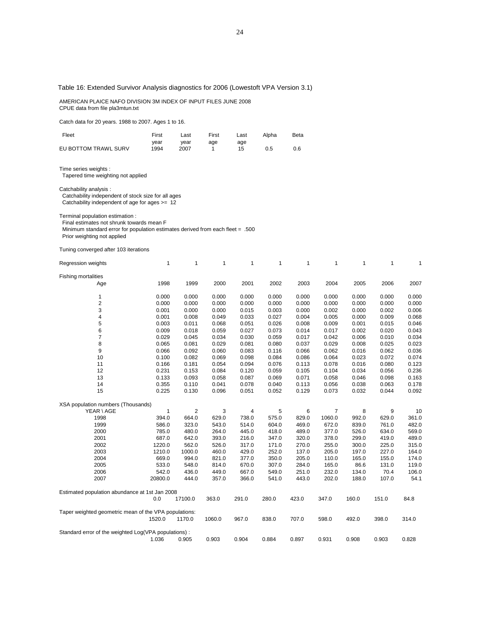| AMERICAN PLAICE NAFO DIVISION 3M INDEX OF INPUT FILES JUNE 2008<br>CPUE data from file pla3mtun.txt                                                                                            |                  |                 |                |                |                |                |                |                |                |                |
|------------------------------------------------------------------------------------------------------------------------------------------------------------------------------------------------|------------------|-----------------|----------------|----------------|----------------|----------------|----------------|----------------|----------------|----------------|
| Catch data for 20 years. 1988 to 2007. Ages 1 to 16.                                                                                                                                           |                  |                 |                |                |                |                |                |                |                |                |
| Fleet                                                                                                                                                                                          | First            | Last            | First          | Last           | Alpha          | Beta           |                |                |                |                |
| EU BOTTOM TRAWL SURV                                                                                                                                                                           | year<br>1994     | year<br>2007    | age<br>1       | age<br>15      | 0.5            | 0.6            |                |                |                |                |
| Time series weights :<br>Tapered time weighting not applied                                                                                                                                    |                  |                 |                |                |                |                |                |                |                |                |
| Catchability analysis:<br>Catchability independent of stock size for all ages<br>Catchability independent of age for ages $>= 12$                                                              |                  |                 |                |                |                |                |                |                |                |                |
| Terminal population estimation :<br>Final estimates not shrunk towards mean F<br>Minimum standard error for population estimates derived from each fleet = .500<br>Prior weighting not applied |                  |                 |                |                |                |                |                |                |                |                |
| Tuning converged after 103 iterations                                                                                                                                                          |                  |                 |                |                |                |                |                |                |                |                |
| Regression weights                                                                                                                                                                             | 1                | 1               | 1              | 1              | 1              | 1              | 1              | 1              | 1              | 1              |
| <b>Fishing mortalities</b><br>Age                                                                                                                                                              | 1998             | 1999            | 2000           | 2001           | 2002           | 2003           | 2004           | 2005           | 2006           | 2007           |
| 1                                                                                                                                                                                              | 0.000            | 0.000           | 0.000          | 0.000          | 0.000          | 0.000          | 0.000          | 0.000          | 0.000          | 0.000          |
| $\overline{\mathbf{c}}$                                                                                                                                                                        | 0.000            | 0.000           | 0.000          | 0.000          | 0.000          | 0.000          | 0.000          | 0.000          | 0.000          | 0.000          |
| 3                                                                                                                                                                                              | 0.001            | 0.000           | 0.000          | 0.015          | 0.003          | 0.000          | 0.002          | 0.000          | 0.002          | 0.006          |
| 4<br>5                                                                                                                                                                                         | 0.001<br>0.003   | 0.008<br>0.011  | 0.049<br>0.068 | 0.033<br>0.051 | 0.027<br>0.026 | 0.004<br>0.008 | 0.005<br>0.009 | 0.000<br>0.001 | 0.009<br>0.015 | 0.068<br>0.046 |
| 6                                                                                                                                                                                              | 0.009            | 0.018           | 0.059          | 0.027          | 0.073          | 0.014          | 0.017          | 0.002          | 0.020          | 0.043          |
| 7                                                                                                                                                                                              | 0.029            | 0.045           | 0.034          | 0.030          | 0.059          | 0.017          | 0.042          | 0.006          | 0.010          | 0.034          |
| 8                                                                                                                                                                                              | 0.065            | 0.081           | 0.029          | 0.081          | 0.080          | 0.037          | 0.029          | 0.008          | 0.025          | 0.023          |
| 9                                                                                                                                                                                              | 0.066            | 0.092           | 0.060          | 0.083          | 0.116          | 0.066          | 0.062          | 0.016          | 0.062          | 0.036          |
| 10                                                                                                                                                                                             | 0.100            | 0.082           | 0.069          | 0.098          | 0.084          | 0.086          | 0.064          | 0.023          | 0.072          | 0.074          |
| 11                                                                                                                                                                                             | 0.166            | 0.181           | 0.054          | 0.094          | 0.076          | 0.113          | 0.078          | 0.016          | 0.080          | 0.123          |
| 12                                                                                                                                                                                             | 0.231            | 0.153           | 0.084          | 0.120          | 0.059          | 0.105          | 0.104          | 0.034          | 0.056          | 0.236          |
| 13                                                                                                                                                                                             | 0.133            | 0.093           | 0.058          | 0.087          | 0.069          | 0.071          | 0.058          | 0.046          | 0.098          | 0.163          |
| 14<br>15                                                                                                                                                                                       | 0.355<br>0.225   | 0.110<br>0.130  | 0.041<br>0.096 | 0.078<br>0.051 | 0.040<br>0.052 | 0.113<br>0.129 | 0.056<br>0.073 | 0.038<br>0.032 | 0.063<br>0.044 | 0.178<br>0.092 |
|                                                                                                                                                                                                |                  |                 |                |                |                |                |                |                |                |                |
| XSA population numbers (Thousands)                                                                                                                                                             |                  |                 |                |                |                |                |                |                |                |                |
| YEAR \ AGE                                                                                                                                                                                     | 1                | 2               | 3              | 4              | 5              | 6              | 7              | 8              | 9              | 10             |
| 1998                                                                                                                                                                                           | 394.0            | 664.0           | 629.0          | 738.0          | 575.0          | 829.0          | 1060.0         | 992.0          | 629.0          | 361.0          |
| 1999                                                                                                                                                                                           | 586.0            | 323.0           | 543.0          | 514.0          | 604.0          | 469.0          | 672.0          | 839.0          | 761.0          | 482.0          |
| 2000                                                                                                                                                                                           | 785.0            | 480.0           | 264.0          | 445.0          | 418.0          | 489.0          | 377.0          | 526.0          | 634.0          | 569.0          |
| 2001                                                                                                                                                                                           | 687.0            | 642.0           | 393.0          | 216.0          | 347.0          | 320.0          | 378.0          | 299.0          | 419.0          | 489.0          |
| 2002<br>2003                                                                                                                                                                                   | 1220.0<br>1210.0 | 562.0<br>1000.0 | 526.0<br>460.0 | 317.0<br>429.0 | 171.0<br>252.0 | 270.0<br>137.0 | 255.0<br>205.0 | 300.0<br>197.0 | 225.0<br>227.0 | 315.0<br>164.0 |
| 2004                                                                                                                                                                                           | 669.0            | 994.0           | 821.0          | 377.0          | 350.0          | 205.0          | 110.0          | 165.0          | 155.0          | 174.0          |
| 2005                                                                                                                                                                                           | 533.0            | 548.0           | 814.0          | 670.0          | 307.0          | 284.0          | 165.0          | 86.6           | 131.0          | 119.0          |
| 2006                                                                                                                                                                                           | 542.0            | 436.0           | 449.0          | 667.0          | 549.0          | 251.0          | 232.0          | 134.0          | 70.4           | 106.0          |
| 2007                                                                                                                                                                                           | 20800.0          | 444.0           | 357.0          | 366.0          | 541.0          | 443.0          | 202.0          | 188.0          | 107.0          | 54.1           |
| Estimated population abundance at 1st Jan 2008                                                                                                                                                 |                  |                 |                |                |                |                |                |                |                |                |
|                                                                                                                                                                                                | 0.0              | 17100.0         | 363.0          | 291.0          | 280.0          | 423.0          | 347.0          | 160.0          | 151.0          | 84.8           |
| Taper weighted geometric mean of the VPA populations:                                                                                                                                          | 1520.0           | 1170.0          | 1060.0         | 967.0          | 838.0          | 707.0          | 598.0          | 492.0          | 398.0          | 314.0          |
| Standard error of the weighted Log(VPA populations):                                                                                                                                           |                  |                 |                |                |                |                |                |                |                |                |
|                                                                                                                                                                                                | 1.036            | 0.905           | 0.903          | 0.904          | 0.884          | 0.897          | 0.931          | 0.908          | 0.903          | 0.828          |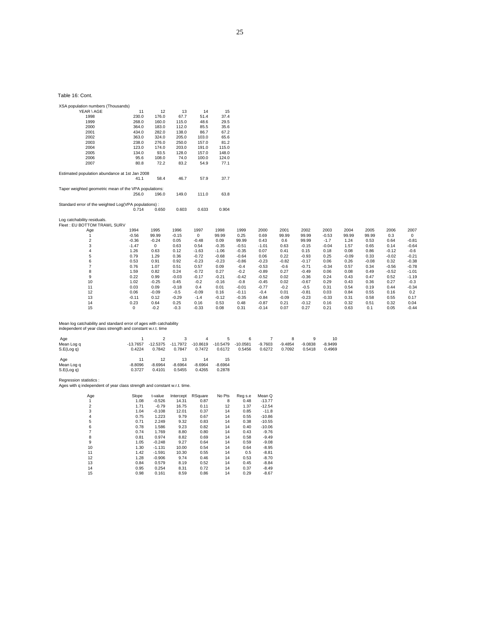25

Table 16: Cont.

| XSA population numbers (Thousands)                    |         |             |         |         |         |         |         |         |         |         |         |         |         |          |
|-------------------------------------------------------|---------|-------------|---------|---------|---------|---------|---------|---------|---------|---------|---------|---------|---------|----------|
| YEAR \ AGE                                            | 11      | 12          | 13      | 14      | 15      |         |         |         |         |         |         |         |         |          |
| 1998                                                  | 230.0   | 176.0       | 67.7    | 51.4    | 37.4    |         |         |         |         |         |         |         |         |          |
| 1999                                                  | 268.0   | 160.0       | 115.0   | 48.6    | 29.5    |         |         |         |         |         |         |         |         |          |
| 2000                                                  | 364.0   | 183.0       | 112.0   | 85.5    | 35.6    |         |         |         |         |         |         |         |         |          |
| 2001                                                  | 434.0   | 282.0       | 138.0   | 86.7    | 67.2    |         |         |         |         |         |         |         |         |          |
| 2002                                                  | 363.0   | 324.0       | 205.0   | 103.0   | 65.6    |         |         |         |         |         |         |         |         |          |
| 2003                                                  | 238.0   | 276.0       | 250.0   | 157.0   | 81.2    |         |         |         |         |         |         |         |         |          |
| 2004                                                  | 123.0   | 174.0       | 203.0   | 191.0   | 115.0   |         |         |         |         |         |         |         |         |          |
| 2005                                                  | 134.0   | 93.5        | 128.0   | 157.0   | 148.0   |         |         |         |         |         |         |         |         |          |
| 2006                                                  | 95.6    | 108.0       | 74.0    | 100.0   | 124.0   |         |         |         |         |         |         |         |         |          |
| 2007                                                  | 80.8    | 72.2        | 83.2    | 54.9    | 77.1    |         |         |         |         |         |         |         |         |          |
| Estimated population abundance at 1st Jan 2008        |         |             |         |         |         |         |         |         |         |         |         |         |         |          |
|                                                       | 41.1    | 58.4        | 46.7    | 57.9    | 37.7    |         |         |         |         |         |         |         |         |          |
|                                                       |         |             |         |         |         |         |         |         |         |         |         |         |         |          |
| Taper weighted geometric mean of the VPA populations: |         |             |         |         |         |         |         |         |         |         |         |         |         |          |
|                                                       | 256.0   | 196.0       | 149.0   | 111.0   | 63.8    |         |         |         |         |         |         |         |         |          |
| Standard error of the weighted Log(VPA populations) : |         |             |         |         |         |         |         |         |         |         |         |         |         |          |
|                                                       | 0.714   | 0.650       | 0.603   | 0.633   | 0.904   |         |         |         |         |         |         |         |         |          |
| Log catchability residuals.                           |         |             |         |         |         |         |         |         |         |         |         |         |         |          |
| Fleet: EU BOTTOM TRAWL SURV                           |         |             |         |         |         |         |         |         |         |         |         |         |         |          |
| Age                                                   | 1994    | 1995        | 1996    | 1997    | 1998    | 1999    | 2000    | 2001    | 2002    | 2003    | 2004    | 2005    | 2006    | 2007     |
| 1                                                     | $-0.56$ | 99.99       | $-0.15$ | 0       | 99.99   | 0.25    | 0.69    | 99.99   | 99.99   | $-0.53$ | 99.99   | 99.99   | 0.3     | $\Omega$ |
| $\overline{\mathbf{c}}$                               | $-0.36$ | $-0.24$     | 0.05    | $-0.48$ | 0.09    | 99.99   | 0.43    | 0.6     | 99.99   | $-1.7$  | 1.24    | 0.53    | 0.64    | $-0.81$  |
| 3                                                     | $-1.47$ | $\mathbf 0$ | 0.63    | 0.54    | $-0.35$ | $-0.51$ | $-1.01$ | 0.63    | $-0.15$ | $-0.04$ | 1.57    | 0.65    | 0.14    | $-0.64$  |
| 4                                                     | 1.26    | 0.63        | 0.12    | $-1.63$ | $-1.06$ | $-0.35$ | 0.07    | 0.41    | 0.15    | 0.18    | 0.08    | 0.86    | $-0.12$ | $-0.6$   |
| 5                                                     | 0.79    | 1.29        | 0.36    | $-0.72$ | $-0.68$ | $-0.64$ | 0.06    | 0.22    | $-0.93$ | 0.25    | $-0.09$ | 0.33    | $-0.02$ | $-0.21$  |
| 6                                                     | 0.53    | 0.91        | 0.92    | $-0.23$ | $-0.23$ | $-0.86$ | $-0.23$ | $-0.82$ | $-0.17$ | 0.06    | 0.26    | $-0.08$ | 0.32    | $-0.38$  |
| $\overline{7}$                                        | 0.76    | 1.07        | 0.51    | 0.57    | 0.09    | $-0.4$  | $-0.53$ | $-0.6$  | $-0.71$ | $-0.34$ | 0.57    | 0.34    | $-0.56$ | $-0.78$  |
| 8                                                     | 1.59    | 0.82        | 0.24    | $-0.72$ | 0.27    | $-0.2$  | $-0.89$ | 0.27    | $-0.49$ | 0.06    | 0.08    | 0.49    | $-0.52$ | $-1.01$  |
| 9                                                     | 0.22    | 0.99        | $-0.03$ | $-0.17$ | $-0.21$ | $-0.42$ | $-0.52$ | 0.02    | $-0.36$ | 0.24    | 0.43    | 0.47    | 0.52    | $-1.19$  |
| 10                                                    | 1.02    | $-0.25$     | 0.45    | $-0.2$  | $-0.16$ | $-0.8$  | $-0.45$ | 0.02    | $-0.67$ | 0.29    | 0.43    | 0.36    | 0.27    | $-0.3$   |
| 11                                                    | 0.03    | 0.09        | $-0.18$ | 0.4     | 0.01    | $-0.01$ | $-0.77$ | $-0.2$  | $-0.5$  | 0.31    | 0.54    | 0.19    | 0.44    | $-0.34$  |
| 12                                                    | 0.06    | $-0.09$     | $-0.5$  | $-0.09$ | 0.16    | $-0.11$ | $-0.4$  | 0.01    | $-0.81$ | 0.03    | 0.84    | 0.55    | 0.16    | 0.2      |
| 13                                                    | $-0.11$ | 0.12        | $-0.29$ | $-1.4$  | $-0.12$ | $-0.35$ | $-0.84$ | $-0.09$ | $-0.23$ | $-0.33$ | 0.31    | 0.58    | 0.55    | 0.17     |
| 14                                                    | 0.23    | 0.64        | 0.25    | 0.16    | 0.53    | 0.48    | $-0.87$ | 0.21    | $-0.12$ | 0.16    | 0.32    | 0.51    | 0.32    | 0.04     |
| 15                                                    | 0       | $-0.2$      | $-0.3$  | $-0.33$ | 0.08    | 0.31    | $-0.14$ | 0.07    | 0.27    | 0.21    | 0.63    | 0.1     | 0.05    | $-0.44$  |

Mean log catchability and standard error of ages with catchability independent of year class strength and constant w.r.t. time

| Age<br>Mean Log q<br>S.E(Log q) | $-13.7657$<br>0.4224      | $-12.5375$<br>0.7842      | $-11.7972$<br>0.7847      | 4<br>$-10.8619$<br>0.7472 | 5<br>$-10.5479$<br>0.6172 | 6<br>$-10.0581$<br>0.5456 | $-9.7603$<br>0.6272 | 8<br>$-9.4854$<br>0.7092 | 9<br>$-9.0838$<br>0.5418 | 10<br>$-8.9499$<br>0.4969 |
|---------------------------------|---------------------------|---------------------------|---------------------------|---------------------------|---------------------------|---------------------------|---------------------|--------------------------|--------------------------|---------------------------|
| Age<br>Mean Log q<br>S.E(Log q) | 11<br>$-8.8096$<br>0.3727 | 12<br>$-8.6964$<br>0.4101 | 13<br>$-8.6964$<br>0.5455 | 14<br>$-8.6964$<br>0.4265 | 15<br>$-8.6964$<br>0.2878 |                           |                     |                          |                          |                           |

Regression statistics :

Ages with q independent of year class strength and constant w.r.t. time.

| Age            | Slope | t-value  | Intercept | RSquare | No Pts | Reg s.e | Mean Q   |
|----------------|-------|----------|-----------|---------|--------|---------|----------|
| 1              | 1.08  | $-0.526$ | 14.31     | 0.87    | 8      | 0.48    | $-13.77$ |
| $\overline{2}$ | 1.71  | $-0.79$  | 16.75     | 0.11    | 12     | 1.37    | $-12.54$ |
| 3              | 1.04  | $-0.108$ | 12.01     | 0.37    | 14     | 0.85    | $-11.8$  |
| $\overline{4}$ | 0.75  | 1.223    | 9.79      | 0.67    | 14     | 0.55    | $-10.86$ |
| 5              | 0.71  | 2.249    | 9.32      | 0.83    | 14     | 0.38    | $-10.55$ |
| 6              | 0.78  | 1.586    | 9.23      | 0.82    | 14     | 0.40    | $-10.06$ |
| $\overline{7}$ | 0.74  | 1.769    | 8.80      | 0.80    | 14     | 0.43    | $-9.76$  |
| 8              | 0.81  | 0.974    | 8.82      | 0.69    | 14     | 0.58    | $-9.49$  |
| 9              | 1.05  | $-0.248$ | 9.27      | 0.64    | 14     | 0.59    | $-9.08$  |
| 10             | 1.30  | $-1.131$ | 10.00     | 0.54    | 14     | 0.64    | $-8.95$  |
| 11             | 1.42  | $-1.591$ | 10.30     | 0.55    | 14     | 0.5     | $-8.81$  |
| 12             | 1.28  | $-0.906$ | 9.74      | 0.46    | 14     | 0.53    | $-8.70$  |
| 13             | 0.84  | 0.579    | 8.19      | 0.52    | 14     | 0.45    | $-8.84$  |
| 14             | 0.95  | 0.254    | 8.31      | 0.72    | 14     | 0.37    | $-8.49$  |
| 15             | 0.98  | 0.161    | 8.59      | 0.86    | 14     | 0.29    | $-8.67$  |
|                |       |          |           |         |        |         |          |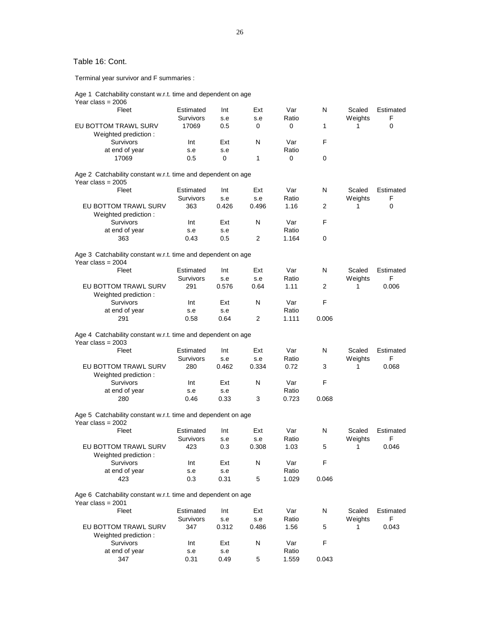# Table 16: Cont.

Terminal year survivor and F summaries :

Age 1 Catchability constant w.r.t. time and dependent on age

| Year class = 2006                                                                   |                  |             |                |             |                |         |           |
|-------------------------------------------------------------------------------------|------------------|-------------|----------------|-------------|----------------|---------|-----------|
| Fleet                                                                               | Estimated        | Int         | Ext            | Var         | N              | Scaled  | Estimated |
|                                                                                     | Survivors        | s.e         | s.e            | Ratio       |                | Weights | F         |
| EU BOTTOM TRAWL SURV                                                                | 17069            | 0.5         | $\Omega$       | 0           | 1              | 1       | 0         |
| Weighted prediction:                                                                |                  |             |                |             |                |         |           |
| Survivors                                                                           | Int              | Ext         | N              | Var         | F              |         |           |
| at end of year                                                                      | s.e              | s.e         |                | Ratio       |                |         |           |
| 17069                                                                               | 0.5              | 0           | 1              | $\mathbf 0$ | 0              |         |           |
|                                                                                     |                  |             |                |             |                |         |           |
| Age 2 Catchability constant w.r.t. time and dependent on age                        |                  |             |                |             |                |         |           |
| Year class = $2005$                                                                 |                  |             |                |             |                |         |           |
| Fleet                                                                               | Estimated        | Int         | Ext            | Var         | N              | Scaled  | Estimated |
|                                                                                     | Survivors        | s.e         | s.e            | Ratio       |                | Weights | F         |
| EU BOTTOM TRAWL SURV                                                                | 363              | 0.426       | 0.496          | 1.16        | $\overline{2}$ | 1       | 0         |
| Weighted prediction:                                                                |                  |             |                |             |                |         |           |
| Survivors                                                                           | Int              | Ext         | N              | Var         | F              |         |           |
| at end of year                                                                      | s.e              | s.e         |                | Ratio       |                |         |           |
| 363                                                                                 | 0.43             | 0.5         | $\overline{2}$ | 1.164       | 0              |         |           |
|                                                                                     |                  |             |                |             |                |         |           |
| Age 3 Catchability constant w.r.t. time and dependent on age<br>Year class = $2004$ |                  |             |                |             |                |         |           |
| Fleet                                                                               | Estimated        | Int         | Ext            | Var         | N              | Scaled  | Estimated |
|                                                                                     | <b>Survivors</b> | s.e         | s.e            | Ratio       |                | Weights | F         |
| EU BOTTOM TRAWL SURV                                                                | 291              | 0.576       | 0.64           | 1.11        | 2              | 1       | 0.006     |
|                                                                                     |                  |             |                |             |                |         |           |
| Weighted prediction :                                                               |                  |             |                | Var         | F              |         |           |
| Survivors                                                                           | Int              | Ext         | N              |             |                |         |           |
| at end of year                                                                      | s.e              | s.e         |                | Ratio       |                |         |           |
| 291                                                                                 | 0.58             | 0.64        | $\overline{2}$ | 1.111       | 0.006          |         |           |
| Age 4 Catchability constant w.r.t. time and dependent on age<br>Year class = $2003$ |                  |             |                |             |                |         |           |
| Fleet                                                                               | Estimated        | Int         | Ext            | Var         | N              | Scaled  | Estimated |
|                                                                                     | Survivors        | s.e         | s.e            | Ratio       |                | Weights | F.        |
| EU BOTTOM TRAWL SURV                                                                | 280              | 0.462       | 0.334          | 0.72        | 3              | 1       | 0.068     |
| Weighted prediction:                                                                |                  |             |                |             |                |         |           |
| <b>Survivors</b>                                                                    | Int              | Ext         | N              | Var         | F              |         |           |
|                                                                                     |                  |             |                | Ratio       |                |         |           |
| at end of year<br>280                                                               | s.e<br>0.46      | s.e<br>0.33 | 3              | 0.723       | 0.068          |         |           |
|                                                                                     |                  |             |                |             |                |         |           |
| Age 5 Catchability constant w.r.t. time and dependent on age<br>Year class = $2002$ |                  |             |                |             |                |         |           |
| Fleet                                                                               | Estimated        | Int         | Ext            | Var         | N              | Scaled  | Estimated |
|                                                                                     |                  |             |                |             |                |         |           |
|                                                                                     | Survivors        | s.e         | s.e            | Ratio       | 5              | Weights | F         |
| EU BOTTOM TRAWL SURV                                                                | 423              | 0.3         | 0.308          | 1.03        |                | 1       | 0.046     |
| Weighted prediction :                                                               |                  |             |                |             |                |         |           |
| Survivors                                                                           | Int              | Ext         | N              | Var         | F              |         |           |
| at end of year                                                                      | s.e              | s.e         |                | Ratio       |                |         |           |
| 423                                                                                 | 0.3              | 0.31        | 5              | 1.029       | 0.046          |         |           |
| Age 6 Catchability constant w.r.t. time and dependent on age<br>Year class = $2001$ |                  |             |                |             |                |         |           |
| Fleet                                                                               |                  |             |                |             | N              |         |           |
|                                                                                     | Estimated        | Int         | Ext            | Var         |                | Scaled  | Estimated |
|                                                                                     | Survivors        | s.e         | s.e            | Ratio       |                | Weights | F         |
| EU BOTTOM TRAWL SURV                                                                | 347              | 0.312       | 0.486          | 1.56        | 5              | 1       | 0.043     |
| Weighted prediction :                                                               |                  |             |                |             |                |         |           |
| Survivors                                                                           | Int              | Ext         | N              | Var         | F              |         |           |
| at end of year                                                                      | s.e              | s.e         |                | Ratio       |                |         |           |
| 347                                                                                 | 0.31             | 0.49        | 5              | 1.559       | 0.043          |         |           |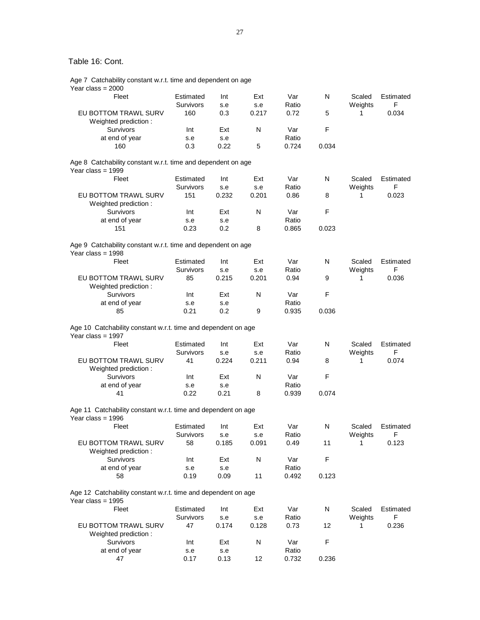# Table 16: Cont.

Age 7 Catchability constant w.r.t. time and dependent on age Year class =  $2000$ 

| Fleet                                                                                | Estimated | Int   | Ext   | Var   | N     | Scaled  | Estimated |
|--------------------------------------------------------------------------------------|-----------|-------|-------|-------|-------|---------|-----------|
|                                                                                      | Survivors | s.e   | s.e   | Ratio |       | Weights | F         |
| EU BOTTOM TRAWL SURV<br>Weighted prediction:                                         | 160       | 0.3   | 0.217 | 0.72  | 5     | 1       | 0.034     |
| Survivors                                                                            | Int       | Ext   | Ν     | Var   | F     |         |           |
| at end of year                                                                       | s.e       | s.e   |       | Ratio |       |         |           |
| 160                                                                                  | 0.3       | 0.22  | 5     | 0.724 | 0.034 |         |           |
| Age 8 Catchability constant w.r.t. time and dependent on age<br>Year class = $1999$  |           |       |       |       |       |         |           |
| Fleet                                                                                | Estimated | Int   | Ext   | Var   | N     | Scaled  | Estimated |
|                                                                                      | Survivors | s.e   | s.e   | Ratio |       | Weights | F         |
| EU BOTTOM TRAWL SURV<br>Weighted prediction :                                        | 151       | 0.232 | 0.201 | 0.86  | 8     | 1       | 0.023     |
| Survivors                                                                            | Int       | Ext   | N     | Var   | F     |         |           |
| at end of year                                                                       | s.e       | s.e   |       | Ratio |       |         |           |
| 151                                                                                  | 0.23      | 0.2   | 8     | 0.865 | 0.023 |         |           |
| Age 9 Catchability constant w.r.t. time and dependent on age<br>Year class = $1998$  |           |       |       |       |       |         |           |
| Fleet                                                                                | Estimated | Int   | Ext   | Var   | N     | Scaled  | Estimated |
|                                                                                      | Survivors | s.e   | s.e   | Ratio |       | Weights | F         |
| EU BOTTOM TRAWL SURV<br>Weighted prediction :                                        | 85        | 0.215 | 0.201 | 0.94  | 9     | 1       | 0.036     |
| Survivors                                                                            | Int       | Ext   | N     | Var   | F     |         |           |
| at end of year                                                                       | s.e       | s.e   |       | Ratio |       |         |           |
| 85                                                                                   | 0.21      | 0.2   | 9     | 0.935 | 0.036 |         |           |
| Age 10 Catchability constant w.r.t. time and dependent on age<br>Year class = $1997$ |           |       |       |       |       |         |           |
| Fleet                                                                                | Estimated | Int   | Ext   | Var   | N     | Scaled  | Estimated |
|                                                                                      | Survivors | s.e   | s.e   | Ratio |       | Weights | F         |
| EU BOTTOM TRAWL SURV<br>Weighted prediction :                                        | 41        | 0.224 | 0.211 | 0.94  | 8     | 1       | 0.074     |
| Survivors                                                                            | Int       | Ext   | Ν     | Var   | F     |         |           |
| at end of year                                                                       | s.e       | s.e   |       | Ratio |       |         |           |
| 41                                                                                   | 0.22      | 0.21  | 8     | 0.939 | 0.074 |         |           |
| Age 11 Catchability constant w.r.t. time and dependent on age<br>Year class = $1996$ |           |       |       |       |       |         |           |
| Fleet                                                                                | Estimated | Int   | Ext   | Var   | N     | Scaled  | Estimated |
|                                                                                      | Survivors | s.e   | s.e   | Ratio |       | Weights | F         |
| EU BOTTOM TRAWL SURV<br>Weighted prediction:                                         | 58        | 0.185 | 0.091 | 0.49  | 11    | 1       | 0.123     |
| Survivors                                                                            | Int       | Ext   | N     | Var   | F     |         |           |
| at end of year                                                                       | s.e       | s.e   |       | Ratio |       |         |           |
| 58                                                                                   | 0.19      | 0.09  | 11    | 0.492 | 0.123 |         |           |
| Age 12 Catchability constant w.r.t. time and dependent on age<br>Year class = $1995$ |           |       |       |       |       |         |           |
| Fleet                                                                                | Estimated | Int   | Ext   | Var   | N     | Scaled  | Estimated |
|                                                                                      | Survivors | s.e   | s.e   | Ratio |       | Weights | F         |
| EU BOTTOM TRAWL SURV                                                                 | 47        | 0.174 | 0.128 | 0.73  | 12    | 1       | 0.236     |
| Weighted prediction:                                                                 |           |       |       |       |       |         |           |
| Survivors                                                                            | Int       | Ext   | Ν     | Var   | F     |         |           |
| at end of year                                                                       | s.e       | s.e   |       | Ratio |       |         |           |
| 47                                                                                   | 0.17      | 0.13  | 12    | 0.732 | 0.236 |         |           |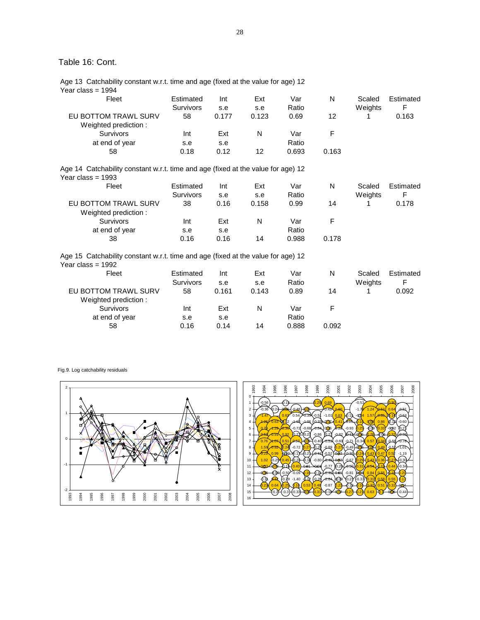# Table 16: Cont.

 Age 13 Catchability constant w.r.t. time and age (fixed at the value for age) 12 Year class = 1994

| Fleet                                        | Estimated<br><b>Survivors</b> | Int<br>s.e | Ext<br>s.e | Var<br>Ratio | N     | Scaled<br>Weights | Estimated<br>F |
|----------------------------------------------|-------------------------------|------------|------------|--------------|-------|-------------------|----------------|
| EU BOTTOM TRAWL SURV<br>Weighted prediction: | 58                            | 0.177      | 0.123      | 0.69         | 12    |                   | 0.163          |
| <b>Survivors</b>                             | Int                           | Ext        | N          | Var          |       |                   |                |
| at end of year                               | s.e                           | s.e        |            | Ratio        |       |                   |                |
| 58                                           | 0.18                          | 0.12       | 12         | 0.693        | 0.163 |                   |                |

 Age 14 Catchability constant w.r.t. time and age (fixed at the value for age) 12 Year class = 1993

| Estimated        | Int  | Ext   | Var   | N     | Scaled  | Estimated |
|------------------|------|-------|-------|-------|---------|-----------|
| <b>Survivors</b> | s.e  | s.e   | Ratio |       | Weights | F         |
| 38               | 0.16 | 0.158 | 0.99  | 14    |         | 0.178     |
|                  |      |       |       |       |         |           |
| Int              | Ext  | N     | Var   |       |         |           |
| s.e              | s.e  |       | Ratio |       |         |           |
| 0.16             | 0.16 | 14    | 0.988 | 0.178 |         |           |
|                  |      |       |       |       |         |           |

 Age 15 Catchability constant w.r.t. time and age (fixed at the value for age) 12 Year class =  $1992$ 

| Fleet                                        | Estimated<br><b>Survivors</b> | Int<br>s.e | Ext<br>s.e | Var<br>Ratio | N     | Scaled<br>Weights | Estimated<br>F |
|----------------------------------------------|-------------------------------|------------|------------|--------------|-------|-------------------|----------------|
| EU BOTTOM TRAWL SURV<br>Weighted prediction: | 58                            | 0.161      | 0.143      | 0.89         | 14    |                   | 0.092          |
| Survivors                                    | Int                           | Ext        | N          | Var          |       |                   |                |
| at end of year                               | s.e                           | s.e        |            | Ratio        |       |                   |                |
| 58                                           | 0.16                          | 0.14       | 14         | 0.888        | 0.092 |                   |                |

Fig.9. Log catchability residuals

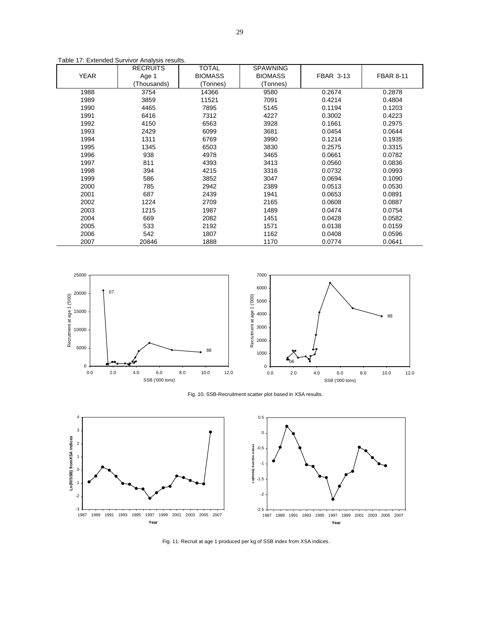|             | <b>RECRUITS</b> | <b>TOTAL</b>   | <b>SPAWNING</b> |                  |                  |
|-------------|-----------------|----------------|-----------------|------------------|------------------|
| <b>YEAR</b> | Age 1           | <b>BIOMASS</b> | <b>BIOMASS</b>  | <b>FBAR 3-13</b> | <b>FBAR 8-11</b> |
|             | (Thousands)     | (Tonnes)       | (Tonnes)        |                  |                  |
| 1988        | 3754            | 14366          | 9580            | 0.2674           | 0.2878           |
| 1989        | 3859            | 11521          | 7091            | 0.4214           | 0.4804           |
| 1990        | 4465            | 7895           | 5145            | 0.1194           | 0.1203           |
| 1991        | 6416            | 7312           | 4227            | 0.3002           | 0.4223           |
| 1992        | 4150            | 6563           | 3928            | 0.1661           | 0.2975           |
| 1993        | 2429            | 6099           | 3681            | 0.0454           | 0.0644           |
| 1994        | 1311            | 6769           | 3990            | 0.1214           | 0.1935           |
| 1995        | 1345            | 6503           | 3830            | 0.2575           | 0.3315           |
| 1996        | 938             | 4978           | 3465            | 0.0661           | 0.0782           |
| 1997        | 811             | 4393           | 3413            | 0.0560           | 0.0836           |
| 1998        | 394             | 4215           | 3316            | 0.0732           | 0.0993           |
| 1999        | 586             | 3852           | 3047            | 0.0694           | 0.1090           |
| 2000        | 785             | 2942           | 2389            | 0.0513           | 0.0530           |
| 2001        | 687             | 2439           | 1941            | 0.0653           | 0.0891           |
| 2002        | 1224            | 2709           | 2165            | 0.0608           | 0.0887           |
| 2003        | 1215            | 1987           | 1489            | 0.0474           | 0.0754           |
| 2004        | 669             | 2082           | 1451            | 0.0428           | 0.0582           |
| 2005        | 533             | 2192           | 1571            | 0.0138           | 0.0159           |
| 2006        | 542             | 1807           | 1162            | 0.0408           | 0.0596           |
| 2007        | 20846           | 1888           | 1170            | 0.0774           | 0.0641           |

 $0 + 0.0$ 5000 10000 15000 20000 25000 0.0 2.0 4.0 6.0 8.0 10.0 12.0 SSB ('000 tons) Recrutment at age 1 ('000) 88 07 0 1000 2000 3000 4000 5000 6000 7000 0.0 2.0 4.0 6.0 8.0 10.0 12.0 SSB ('000 tons) Recrutment at age 1 ('000) 88  $\mathbf{F}_{06}$ 

Fig. 10. SSB-Recruitment scatter plot based in XSA results.



Fig. 11. Recruit at age 1 produced per kg of SSB index from XSA indices.

Table 17: Extended Survivor Analysis results.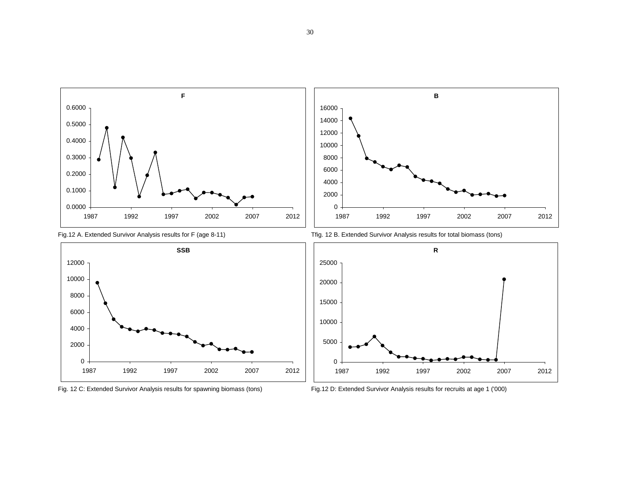







Fig.12 A. Extended Survivor Analysis results for F (age 8-11) Tfig. 12 B. Extended Survivor Analysis results for total biomass (tons)

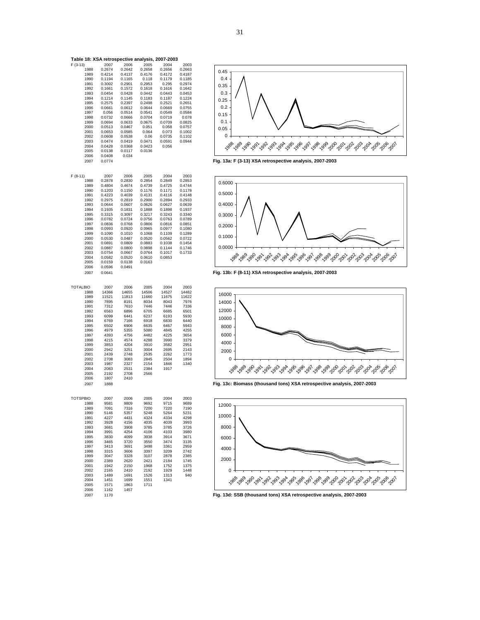

2007 1170 **Fig. 13d: SSB (thousand tons) XSA retrospective analysis, 2007-2003**